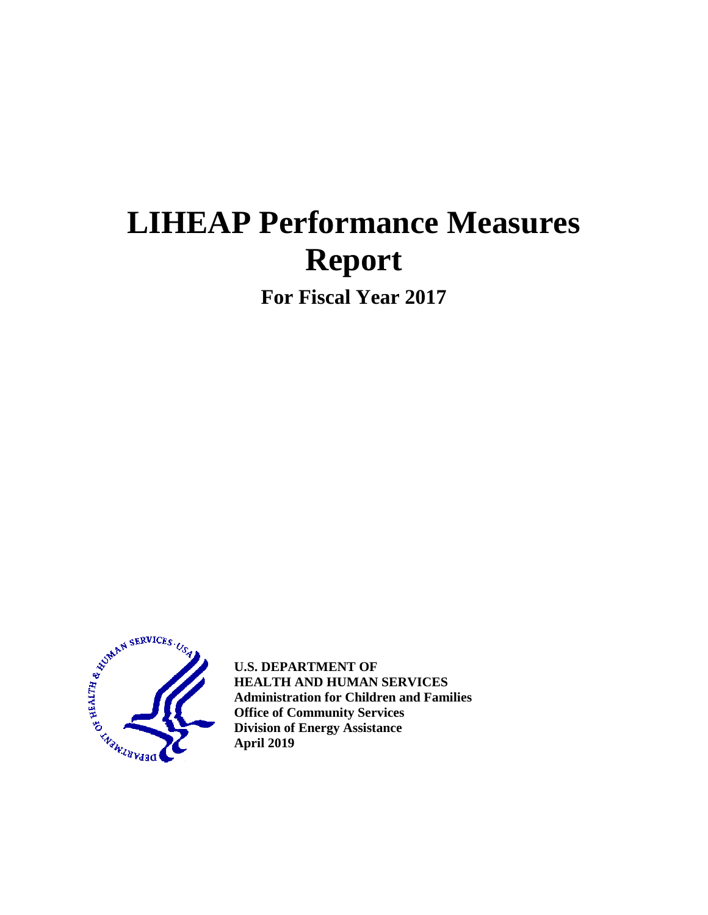# **LIHEAP Performance Measures Report**

**For Fiscal Year 2017**



**U.S. DEPARTMENT OF HEALTH AND HUMAN SERVICES Administration for Children and Families Office of Community Services Division of Energy Assistance April 2019**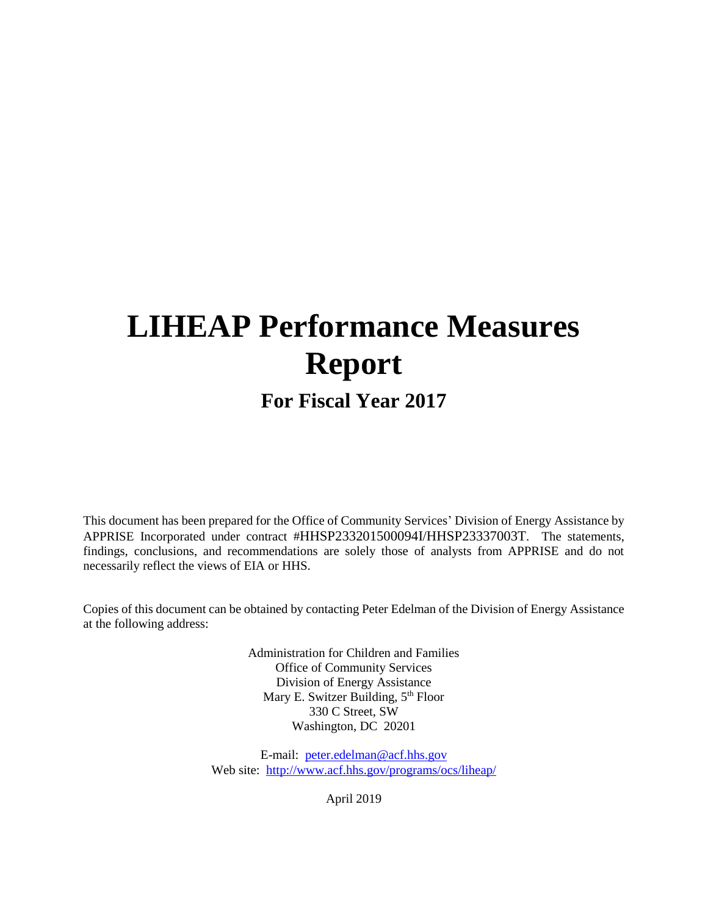# **LIHEAP Performance Measures Report**

# **For Fiscal Year 2017**

This document has been prepared for the Office of Community Services' Division of Energy Assistance by APPRISE Incorporated under contract #HHSP233201500094I/HHSP23337003T. The statements, findings, conclusions, and recommendations are solely those of analysts from APPRISE and do not necessarily reflect the views of EIA or HHS.

Copies of this document can be obtained by contacting Peter Edelman of the Division of Energy Assistance at the following address:

> Administration for Children and Families Office of Community Services Division of Energy Assistance Mary E. Switzer Building, 5<sup>th</sup> Floor 330 C Street, SW Washington, DC 20201

E-mail: [peter.edelman@acf.hhs.gov](mailto:peter.edelman@acf.hhs.gov) Web site: <http://www.acf.hhs.gov/programs/ocs/liheap/>

April 2019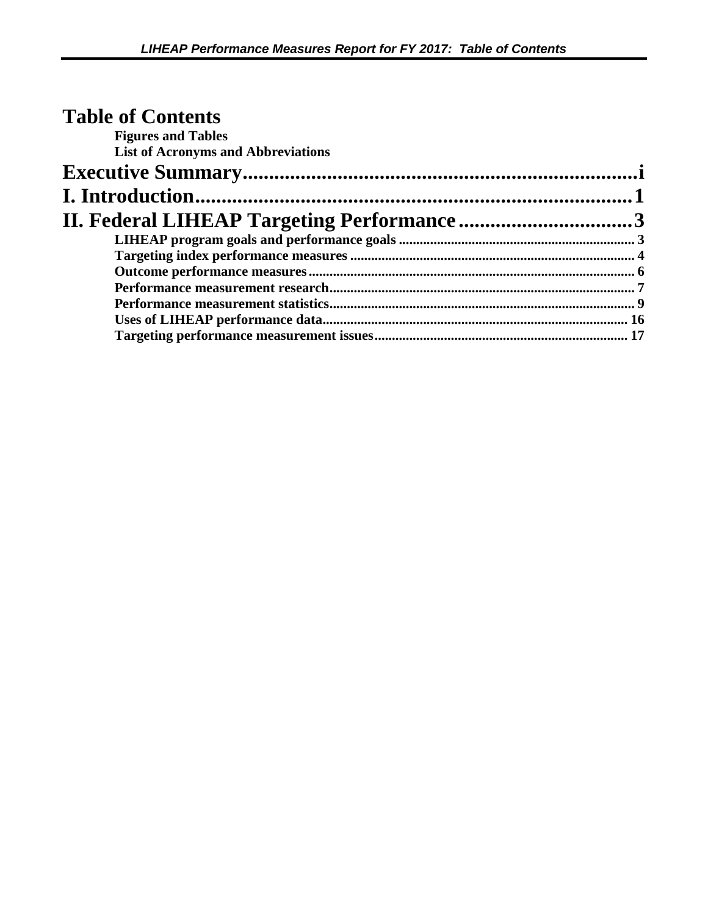| <b>Table of Contents</b>                  |  |
|-------------------------------------------|--|
| <b>Figures and Tables</b>                 |  |
| <b>List of Acronyms and Abbreviations</b> |  |
|                                           |  |
|                                           |  |
|                                           |  |
|                                           |  |
|                                           |  |
|                                           |  |
|                                           |  |
|                                           |  |
|                                           |  |
|                                           |  |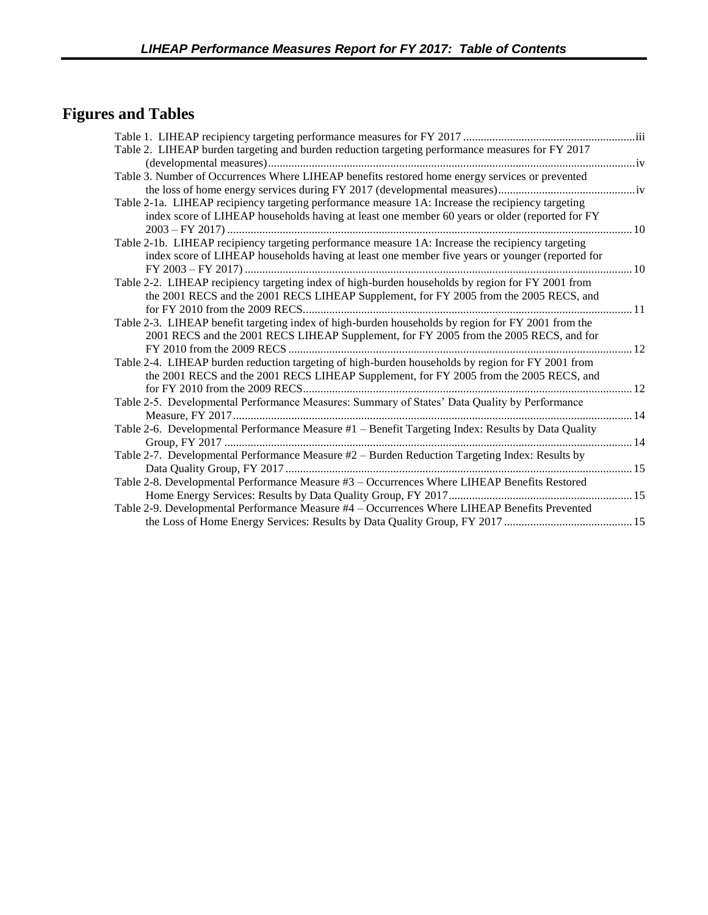# <span id="page-3-0"></span>**Figures and Tables**

| Table 2. LIHEAP burden targeting and burden reduction targeting performance measures for FY 2017   |     |
|----------------------------------------------------------------------------------------------------|-----|
|                                                                                                    |     |
| Table 3. Number of Occurrences Where LIHEAP benefits restored home energy services or prevented    |     |
|                                                                                                    |     |
| Table 2-1a. LIHEAP recipiency targeting performance measure 1A: Increase the recipiency targeting  |     |
| index score of LIHEAP households having at least one member 60 years or older (reported for FY     |     |
| 2003 – FY 2017) …………………………………………………………………………………………                                                 | .10 |
| Table 2-1b. LIHEAP recipiency targeting performance measure 1A: Increase the recipiency targeting  |     |
| index score of LIHEAP households having at least one member five years or younger (reported for    |     |
|                                                                                                    |     |
| Table 2-2. LIHEAP recipiency targeting index of high-burden households by region for FY 2001 from  |     |
| the 2001 RECS and the 2001 RECS LIHEAP Supplement, for FY 2005 from the 2005 RECS, and             |     |
|                                                                                                    |     |
| Table 2-3. LIHEAP benefit targeting index of high-burden households by region for FY 2001 from the |     |
| 2001 RECS and the 2001 RECS LIHEAP Supplement, for FY 2005 from the 2005 RECS, and for             |     |
|                                                                                                    |     |
| Table 2-4. LIHEAP burden reduction targeting of high-burden households by region for FY 2001 from  |     |
| the 2001 RECS and the 2001 RECS LIHEAP Supplement, for FY 2005 from the 2005 RECS, and             |     |
|                                                                                                    | .12 |
| Table 2-5. Developmental Performance Measures: Summary of States' Data Quality by Performance      |     |
|                                                                                                    |     |
| Table 2-6. Developmental Performance Measure #1 - Benefit Targeting Index: Results by Data Quality |     |
|                                                                                                    |     |
| Table 2-7. Developmental Performance Measure #2 - Burden Reduction Targeting Index: Results by     |     |
|                                                                                                    |     |
| Table 2-8. Developmental Performance Measure #3 - Occurrences Where LIHEAP Benefits Restored       |     |
|                                                                                                    |     |
| Table 2-9. Developmental Performance Measure #4 - Occurrences Where LIHEAP Benefits Prevented      |     |
|                                                                                                    |     |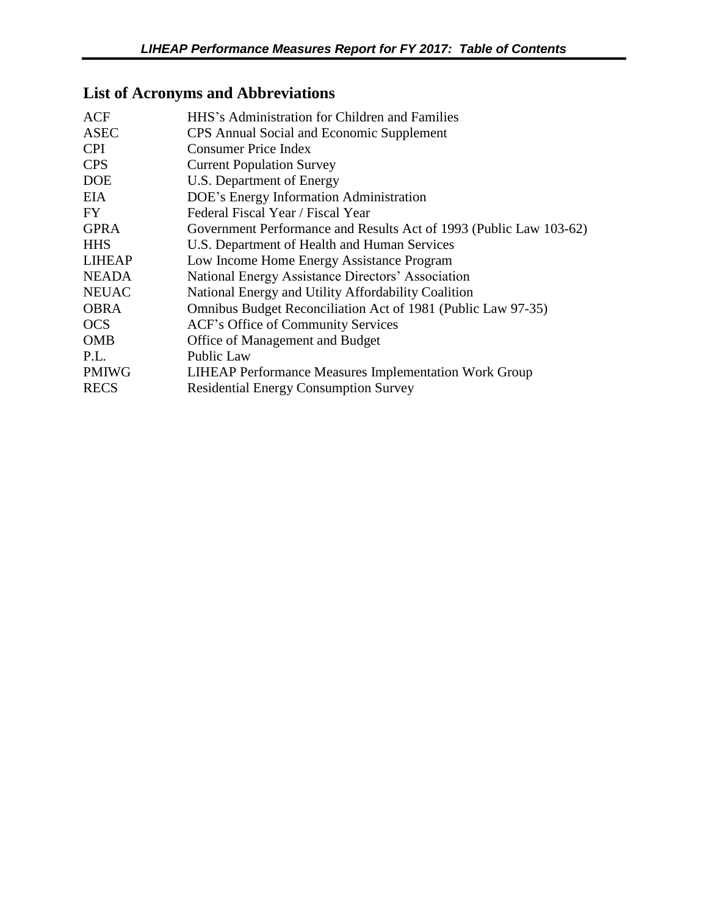# <span id="page-4-0"></span>**List of Acronyms and Abbreviations**

| <b>ACF</b>    | HHS's Administration for Children and Families                     |
|---------------|--------------------------------------------------------------------|
| <b>ASEC</b>   | CPS Annual Social and Economic Supplement                          |
| <b>CPI</b>    | Consumer Price Index                                               |
| <b>CPS</b>    | <b>Current Population Survey</b>                                   |
| <b>DOE</b>    | U.S. Department of Energy                                          |
| <b>EIA</b>    | DOE's Energy Information Administration                            |
| FY            | Federal Fiscal Year / Fiscal Year                                  |
| <b>GPRA</b>   | Government Performance and Results Act of 1993 (Public Law 103-62) |
| <b>HHS</b>    | U.S. Department of Health and Human Services                       |
| <b>LIHEAP</b> | Low Income Home Energy Assistance Program                          |
| <b>NEADA</b>  | National Energy Assistance Directors' Association                  |
| <b>NEUAC</b>  | National Energy and Utility Affordability Coalition                |
| <b>OBRA</b>   | Omnibus Budget Reconciliation Act of 1981 (Public Law 97-35)       |
| <b>OCS</b>    | ACF's Office of Community Services                                 |
| <b>OMB</b>    | Office of Management and Budget                                    |
| P.L.          | <b>Public Law</b>                                                  |
| <b>PMIWG</b>  | <b>LIHEAP Performance Measures Implementation Work Group</b>       |
| <b>RECS</b>   | <b>Residential Energy Consumption Survey</b>                       |
|               |                                                                    |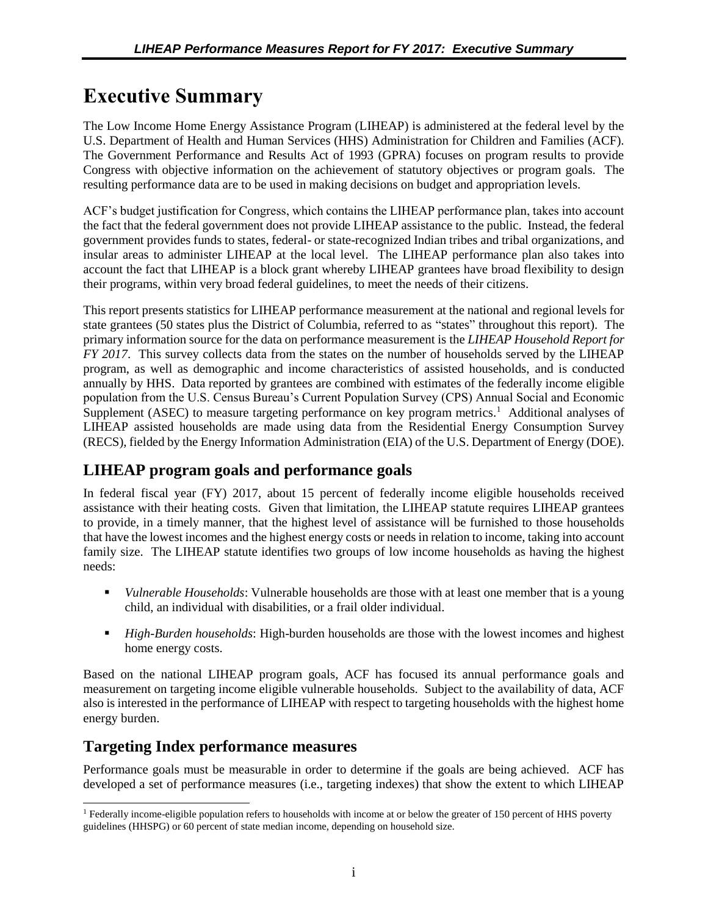# <span id="page-5-0"></span>**Executive Summary**

The Low Income Home Energy Assistance Program (LIHEAP) is administered at the federal level by the U.S. Department of Health and Human Services (HHS) Administration for Children and Families (ACF). The Government Performance and Results Act of 1993 (GPRA) focuses on program results to provide Congress with objective information on the achievement of statutory objectives or program goals. The resulting performance data are to be used in making decisions on budget and appropriation levels.

ACF's budget justification for Congress, which contains the LIHEAP performance plan, takes into account the fact that the federal government does not provide LIHEAP assistance to the public. Instead, the federal government provides funds to states, federal- or state-recognized Indian tribes and tribal organizations, and insular areas to administer LIHEAP at the local level. The LIHEAP performance plan also takes into account the fact that LIHEAP is a block grant whereby LIHEAP grantees have broad flexibility to design their programs, within very broad federal guidelines, to meet the needs of their citizens.

This report presents statistics for LIHEAP performance measurement at the national and regional levels for state grantees (50 states plus the District of Columbia, referred to as "states" throughout this report). The primary information source for the data on performance measurement is the *LIHEAP Household Report for FY 2017*. This survey collects data from the states on the number of households served by the LIHEAP program, as well as demographic and income characteristics of assisted households, and is conducted annually by HHS. Data reported by grantees are combined with estimates of the federally income eligible population from the U.S. Census Bureau's Current Population Survey (CPS) Annual Social and Economic Supplement (ASEC) to measure targeting performance on key program metrics.<sup>1</sup> Additional analyses of LIHEAP assisted households are made using data from the Residential Energy Consumption Survey (RECS), fielded by the Energy Information Administration (EIA) of the U.S. Department of Energy (DOE).

# **LIHEAP program goals and performance goals**

In federal fiscal year (FY) 2017, about 15 percent of federally income eligible households received assistance with their heating costs. Given that limitation, the LIHEAP statute requires LIHEAP grantees to provide, in a timely manner, that the highest level of assistance will be furnished to those households that have the lowest incomes and the highest energy costs or needs in relation to income, taking into account family size. The LIHEAP statute identifies two groups of low income households as having the highest needs:

- *Vulnerable Households*: Vulnerable households are those with at least one member that is a young child, an individual with disabilities, or a frail older individual.
- **•** *High-Burden households*: High-burden households are those with the lowest incomes and highest home energy costs.

Based on the national LIHEAP program goals, ACF has focused its annual performance goals and measurement on targeting income eligible vulnerable households. Subject to the availability of data, ACF also is interested in the performance of LIHEAP with respect to targeting households with the highest home energy burden.

## **Targeting Index performance measures**

Performance goals must be measurable in order to determine if the goals are being achieved. ACF has developed a set of performance measures (i.e., targeting indexes) that show the extent to which LIHEAP

 $\overline{a}$ <sup>1</sup> Federally income-eligible population refers to households with income at or below the greater of 150 percent of HHS poverty guidelines (HHSPG) or 60 percent of state median income, depending on household size.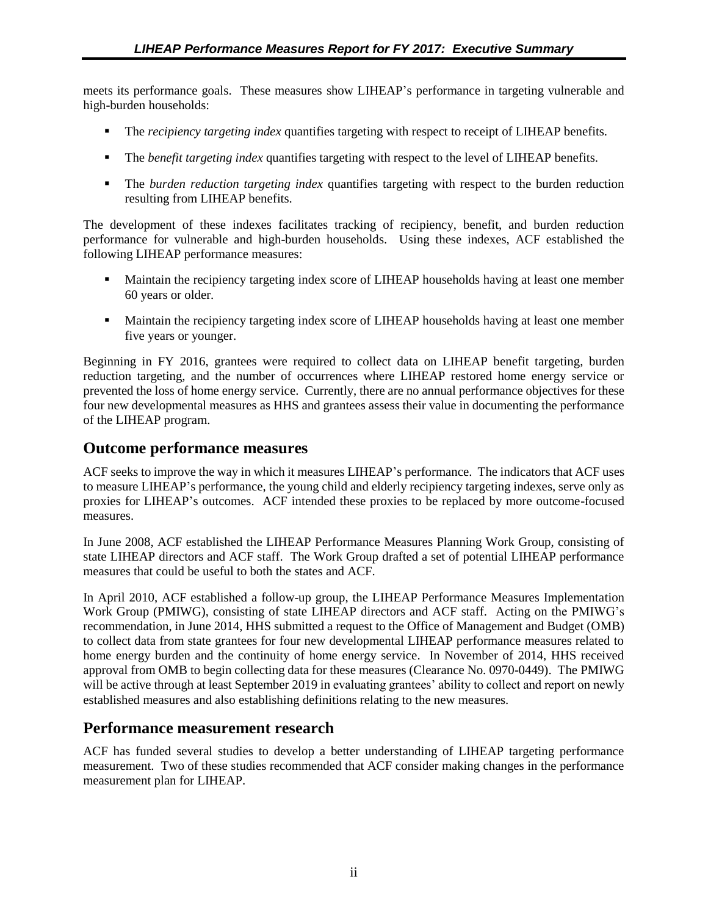meets its performance goals. These measures show LIHEAP's performance in targeting vulnerable and high-burden households:

- **•** The *recipiency targeting index* quantifies targeting with respect to receipt of LIHEAP benefits.
- **•** The *benefit targeting index* quantifies targeting with respect to the level of LIHEAP benefits.
- The *burden reduction targeting index* quantifies targeting with respect to the burden reduction resulting from LIHEAP benefits.

The development of these indexes facilitates tracking of recipiency, benefit, and burden reduction performance for vulnerable and high-burden households. Using these indexes, ACF established the following LIHEAP performance measures:

- **EXECUTE:** Maintain the recipiency targeting index score of LIHEAP households having at least one member 60 years or older.
- **EXECUTE:** Maintain the recipiency targeting index score of LIHEAP households having at least one member five years or younger.

Beginning in FY 2016, grantees were required to collect data on LIHEAP benefit targeting, burden reduction targeting, and the number of occurrences where LIHEAP restored home energy service or prevented the loss of home energy service. Currently, there are no annual performance objectives for these four new developmental measures as HHS and grantees assess their value in documenting the performance of the LIHEAP program.

### **Outcome performance measures**

ACF seeks to improve the way in which it measures LIHEAP's performance. The indicators that ACF uses to measure LIHEAP's performance, the young child and elderly recipiency targeting indexes, serve only as proxies for LIHEAP's outcomes. ACF intended these proxies to be replaced by more outcome-focused measures.

In June 2008, ACF established the LIHEAP Performance Measures Planning Work Group, consisting of state LIHEAP directors and ACF staff. The Work Group drafted a set of potential LIHEAP performance measures that could be useful to both the states and ACF.

In April 2010, ACF established a follow-up group, the LIHEAP Performance Measures Implementation Work Group (PMIWG), consisting of state LIHEAP directors and ACF staff. Acting on the PMIWG's recommendation, in June 2014, HHS submitted a request to the Office of Management and Budget (OMB) to collect data from state grantees for four new developmental LIHEAP performance measures related to home energy burden and the continuity of home energy service. In November of 2014, HHS received approval from OMB to begin collecting data for these measures (Clearance No. 0970-0449). The PMIWG will be active through at least September 2019 in evaluating grantees' ability to collect and report on newly established measures and also establishing definitions relating to the new measures.

## **Performance measurement research**

ACF has funded several studies to develop a better understanding of LIHEAP targeting performance measurement. Two of these studies recommended that ACF consider making changes in the performance measurement plan for LIHEAP.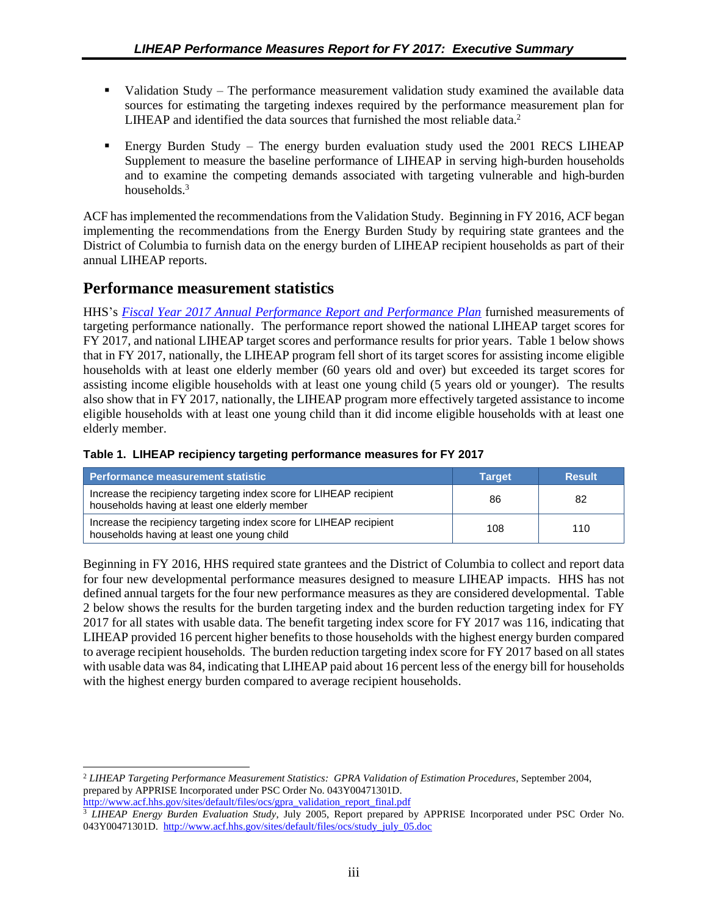- <span id="page-7-0"></span>• Validation Study – The performance measurement validation study examined the available data sources for estimating the targeting indexes required by the performance measurement plan for LIHEAP and identified the data sources that furnished the most reliable data.<sup>2</sup>
- Energy Burden Study The energy burden evaluation study used the 2001 RECS LIHEAP Supplement to measure the baseline performance of LIHEAP in serving high-burden households and to examine the competing demands associated with targeting vulnerable and high-burden households $3$

ACF has implemented the recommendations from the Validation Study. Beginning in FY 2016, ACF began implementing the recommendations from the Energy Burden Study by requiring state grantees and the District of Columbia to furnish data on the energy burden of LIHEAP recipient households as part of their annual LIHEAP reports.

# **Performance measurement statistics**

HHS's *Fiscal Year 2017 [Annual Performance Report and Performance Plan](http://www.hhs.gov/sites/default/files/fy2017-performance-plan_remediated.pdf)* furnished measurements of targeting performance nationally. The performance report showed the national LIHEAP target scores for FY 2017, and national LIHEAP target scores and performance results for prior years. Table 1 below shows that in FY 2017, nationally, the LIHEAP program fell short of its target scores for assisting income eligible households with at least one elderly member (60 years old and over) but exceeded its target scores for assisting income eligible households with at least one young child (5 years old or younger). The results also show that in FY 2017, nationally, the LIHEAP program more effectively targeted assistance to income eligible households with at least one young child than it did income eligible households with at least one elderly member.

| <b>Performance measurement statistic</b>                                                                            | <b>Target</b> | <b>Result</b> |
|---------------------------------------------------------------------------------------------------------------------|---------------|---------------|
| Increase the recipiency targeting index score for LIHEAP recipient<br>households having at least one elderly member | 86            | -82           |
| Increase the recipiency targeting index score for LIHEAP recipient<br>households having at least one young child    | 108           | 110           |

#### **Table 1. LIHEAP recipiency targeting performance measures for FY 2017**

Beginning in FY 2016, HHS required state grantees and the District of Columbia to collect and report data for four new developmental performance measures designed to measure LIHEAP impacts. HHS has not defined annual targets for the four new performance measures as they are considered developmental. Table 2 below shows the results for the burden targeting index and the burden reduction targeting index for FY 2017 for all states with usable data. The benefit targeting index score for FY 2017 was 116, indicating that LIHEAP provided 16 percent higher benefits to those households with the highest energy burden compared to average recipient households. The burden reduction targeting index score for FY 2017 based on all states with usable data was 84, indicating that LIHEAP paid about 16 percent less of the energy bill for households with the highest energy burden compared to average recipient households.

l <sup>2</sup> *LIHEAP Targeting Performance Measurement Statistics: GPRA Validation of Estimation Procedures*, September 2004, prepared by APPRISE Incorporated under PSC Order No. 043Y00471301D. [http://www.acf.hhs.gov/sites/default/files/ocs/gpra\\_validation\\_report\\_final.pdf](http://www.acf.hhs.gov/sites/default/files/ocs/gpra_validation_report_final.pdf)

<sup>3</sup> *LIHEAP Energy Burden Evaluation Study*, July 2005, Report prepared by APPRISE Incorporated under PSC Order No. 043Y00471301D. [http://www.acf.hhs.gov/sites/default/files/ocs/study\\_july\\_05.doc](http://www.acf.hhs.gov/sites/default/files/ocs/study_july_05.doc)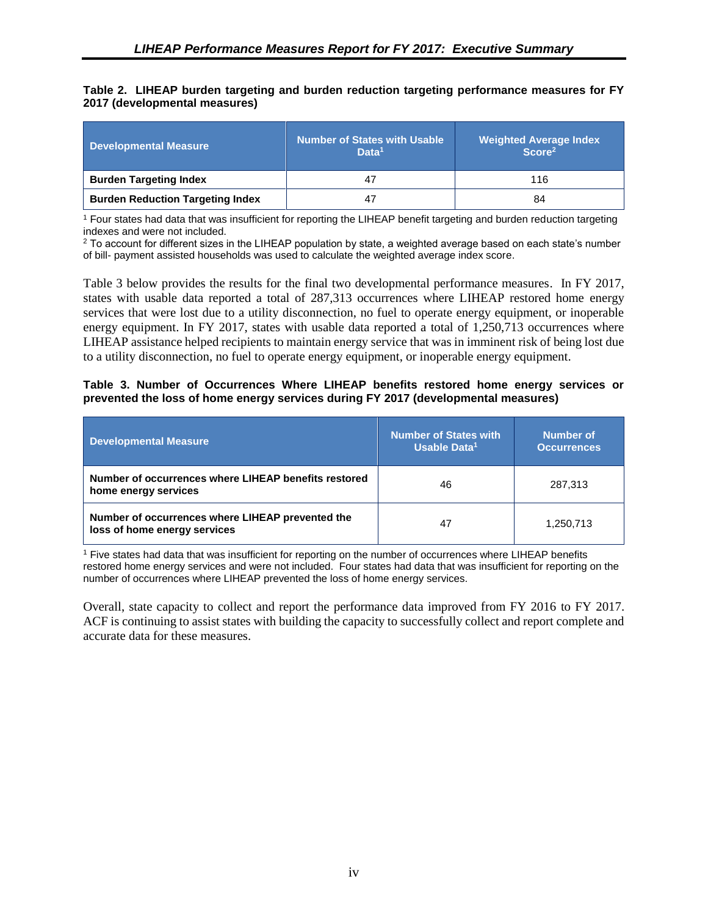#### <span id="page-8-0"></span>**Table 2. LIHEAP burden targeting and burden reduction targeting performance measures for FY 2017 (developmental measures)**

| Developmental Measure                   | <b>Number of States with Usable</b><br>Data <sup>1</sup> | <b>Weighted Average Index</b><br>Score <sup>2</sup> |
|-----------------------------------------|----------------------------------------------------------|-----------------------------------------------------|
| <b>Burden Targeting Index</b>           | 47                                                       | 116                                                 |
| <b>Burden Reduction Targeting Index</b> | 47                                                       | 84                                                  |

<sup>1</sup> Four states had data that was insufficient for reporting the LIHEAP benefit targeting and burden reduction targeting indexes and were not included.

<sup>2</sup> To account for different sizes in the LIHEAP population by state, a weighted average based on each state's number of bill- payment assisted households was used to calculate the weighted average index score.

Table 3 below provides the results for the final two developmental performance measures. In FY 2017, states with usable data reported a total of 287,313 occurrences where LIHEAP restored home energy services that were lost due to a utility disconnection, no fuel to operate energy equipment, or inoperable energy equipment. In FY 2017, states with usable data reported a total of 1,250,713 occurrences where LIHEAP assistance helped recipients to maintain energy service that was in imminent risk of being lost due to a utility disconnection, no fuel to operate energy equipment, or inoperable energy equipment.

#### **Table 3. Number of Occurrences Where LIHEAP benefits restored home energy services or prevented the loss of home energy services during FY 2017 (developmental measures)**

| <b>Developmental Measure</b>                                                     | <b>Number of States with</b><br>Usable Data <sup>1</sup> | Number of<br><b>Occurrences</b> |
|----------------------------------------------------------------------------------|----------------------------------------------------------|---------------------------------|
| Number of occurrences where LIHEAP benefits restored<br>home energy services     | 46                                                       | 287.313                         |
| Number of occurrences where LIHEAP prevented the<br>loss of home energy services | 47                                                       | 1,250,713                       |

<sup>1</sup> Five states had data that was insufficient for reporting on the number of occurrences where LIHEAP benefits restored home energy services and were not included. Four states had data that was insufficient for reporting on the number of occurrences where LIHEAP prevented the loss of home energy services.

Overall, state capacity to collect and report the performance data improved from FY 2016 to FY 2017. ACF is continuing to assist states with building the capacity to successfully collect and report complete and accurate data for these measures.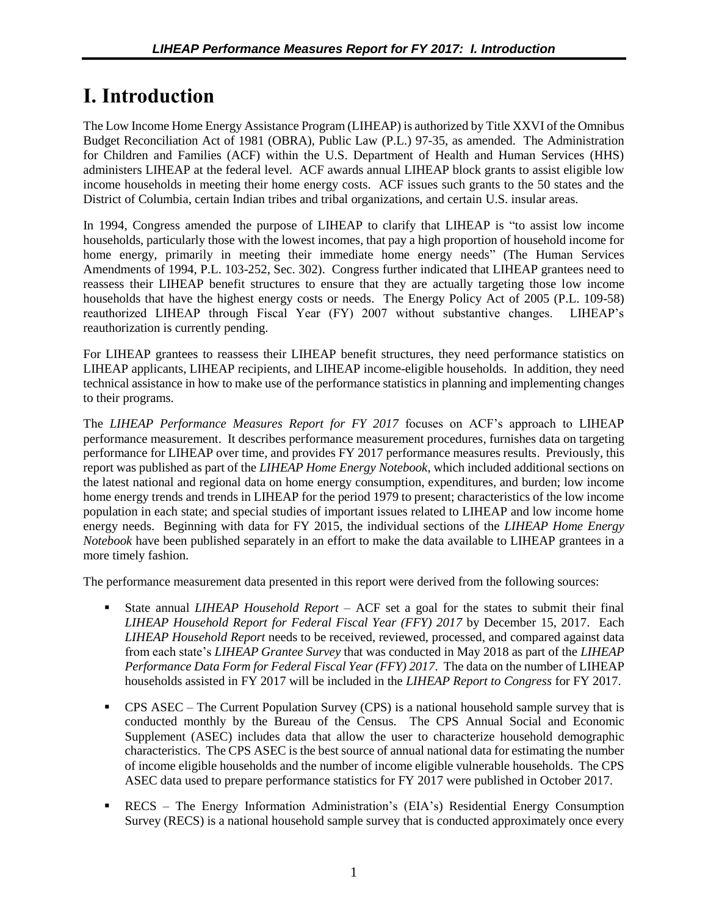# <span id="page-9-0"></span>**I. Introduction**

The Low Income Home Energy Assistance Program (LIHEAP) is authorized by Title XXVI of the Omnibus Budget Reconciliation Act of 1981 (OBRA), Public Law (P.L.) 97-35, as amended. The Administration for Children and Families (ACF) within the U.S. Department of Health and Human Services (HHS) administers LIHEAP at the federal level. ACF awards annual LIHEAP block grants to assist eligible low income households in meeting their home energy costs. ACF issues such grants to the 50 states and the District of Columbia, certain Indian tribes and tribal organizations, and certain U.S. insular areas.

In 1994, Congress amended the purpose of LIHEAP to clarify that LIHEAP is "to assist low income households, particularly those with the lowest incomes, that pay a high proportion of household income for home energy, primarily in meeting their immediate home energy needs" (The Human Services Amendments of 1994, P.L. 103-252, Sec. 302). Congress further indicated that LIHEAP grantees need to reassess their LIHEAP benefit structures to ensure that they are actually targeting those low income households that have the highest energy costs or needs. The Energy Policy Act of 2005 (P.L. 109-58) reauthorized LIHEAP through Fiscal Year (FY) 2007 without substantive changes. LIHEAP's reauthorization is currently pending.

For LIHEAP grantees to reassess their LIHEAP benefit structures, they need performance statistics on LIHEAP applicants, LIHEAP recipients, and LIHEAP income-eligible households. In addition, they need technical assistance in how to make use of the performance statistics in planning and implementing changes to their programs.

The *LIHEAP Performance Measures Report for FY 2017* focuses on ACF's approach to LIHEAP performance measurement. It describes performance measurement procedures, furnishes data on targeting performance for LIHEAP over time, and provides FY 2017 performance measures results. Previously, this report was published as part of the *LIHEAP Home Energy Notebook*, which included additional sections on the latest national and regional data on home energy consumption, expenditures, and burden; low income home energy trends and trends in LIHEAP for the period 1979 to present; characteristics of the low income population in each state; and special studies of important issues related to LIHEAP and low income home energy needs. Beginning with data for FY 2015, the individual sections of the *LIHEAP Home Energy Notebook* have been published separately in an effort to make the data available to LIHEAP grantees in a more timely fashion.

The performance measurement data presented in this report were derived from the following sources:

- State annual *LIHEAP Household Report* ACF set a goal for the states to submit their final *LIHEAP Household Report for Federal Fiscal Year (FFY) 2017* by December 15, 2017. Each *LIHEAP Household Report* needs to be received, reviewed, processed, and compared against data from each state's *LIHEAP Grantee Survey* that was conducted in May 2018 as part of the *LIHEAP Performance Data Form for Federal Fiscal Year (FFY) 2017*. The data on the number of LIHEAP households assisted in FY 2017 will be included in the *LIHEAP Report to Congress* for FY 2017.
- **CPS ASEC** The Current Population Survey (CPS) is a national household sample survey that is conducted monthly by the Bureau of the Census. The CPS Annual Social and Economic Supplement (ASEC) includes data that allow the user to characterize household demographic characteristics. The CPS ASEC is the best source of annual national data for estimating the number of income eligible households and the number of income eligible vulnerable households. The CPS ASEC data used to prepare performance statistics for FY 2017 were published in October 2017.
- **EXECS** The Energy Information Administration's (EIA's) Residential Energy Consumption Survey (RECS) is a national household sample survey that is conducted approximately once every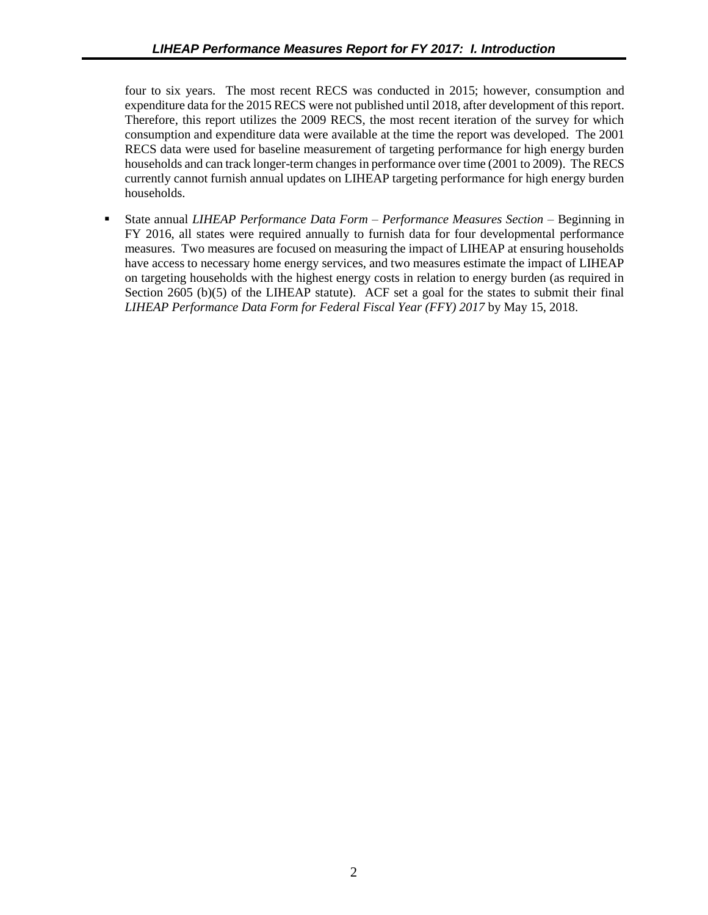four to six years. The most recent RECS was conducted in 2015; however, consumption and expenditure data for the 2015 RECS were not published until 2018, after development of this report. Therefore, this report utilizes the 2009 RECS, the most recent iteration of the survey for which consumption and expenditure data were available at the time the report was developed. The 2001 RECS data were used for baseline measurement of targeting performance for high energy burden households and can track longer-term changes in performance over time (2001 to 2009). The RECS currently cannot furnish annual updates on LIHEAP targeting performance for high energy burden households.

■ State annual *LIHEAP Performance Data Form – Performance Measures Section* – Beginning in FY 2016, all states were required annually to furnish data for four developmental performance measures. Two measures are focused on measuring the impact of LIHEAP at ensuring households have access to necessary home energy services, and two measures estimate the impact of LIHEAP on targeting households with the highest energy costs in relation to energy burden (as required in Section 2605 (b)(5) of the LIHEAP statute). ACF set a goal for the states to submit their final *LIHEAP Performance Data Form for Federal Fiscal Year (FFY) 2017* by May 15, 2018.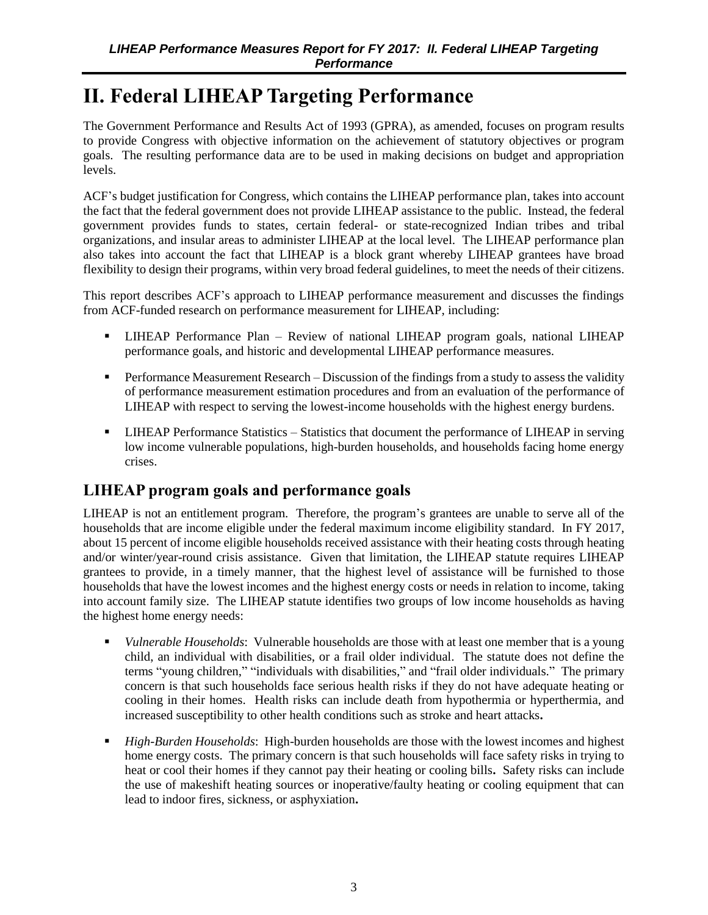# <span id="page-11-0"></span>**II. Federal LIHEAP Targeting Performance**

The Government Performance and Results Act of 1993 (GPRA), as amended, focuses on program results to provide Congress with objective information on the achievement of statutory objectives or program goals. The resulting performance data are to be used in making decisions on budget and appropriation levels.

ACF's budget justification for Congress, which contains the LIHEAP performance plan, takes into account the fact that the federal government does not provide LIHEAP assistance to the public. Instead, the federal government provides funds to states, certain federal- or state-recognized Indian tribes and tribal organizations, and insular areas to administer LIHEAP at the local level. The LIHEAP performance plan also takes into account the fact that LIHEAP is a block grant whereby LIHEAP grantees have broad flexibility to design their programs, within very broad federal guidelines, to meet the needs of their citizens.

This report describes ACF's approach to LIHEAP performance measurement and discusses the findings from ACF-funded research on performance measurement for LIHEAP, including:

- LIHEAP Performance Plan Review of national LIHEAP program goals, national LIHEAP performance goals, and historic and developmental LIHEAP performance measures.
- **•** Performance Measurement Research Discussion of the findings from a study to assess the validity of performance measurement estimation procedures and from an evaluation of the performance of LIHEAP with respect to serving the lowest-income households with the highest energy burdens.
- **LIHEAP Performance Statistics Statistics that document the performance of LIHEAP in serving** low income vulnerable populations, high-burden households, and households facing home energy crises.

# **LIHEAP program goals and performance goals**

LIHEAP is not an entitlement program. Therefore, the program's grantees are unable to serve all of the households that are income eligible under the federal maximum income eligibility standard. In FY 2017, about 15 percent of income eligible households received assistance with their heating costs through heating and/or winter/year-round crisis assistance. Given that limitation, the LIHEAP statute requires LIHEAP grantees to provide, in a timely manner, that the highest level of assistance will be furnished to those households that have the lowest incomes and the highest energy costs or needs in relation to income, taking into account family size. The LIHEAP statute identifies two groups of low income households as having the highest home energy needs:

- *Vulnerable Households*: Vulnerable households are those with at least one member that is a young child, an individual with disabilities, or a frail older individual. The statute does not define the terms "young children," "individuals with disabilities," and "frail older individuals." The primary concern is that such households face serious health risks if they do not have adequate heating or cooling in their homes. Health risks can include death from hypothermia or hyperthermia, and increased susceptibility to other health conditions such as stroke and heart attacks**.**
- *High-Burden Households*: High-burden households are those with the lowest incomes and highest home energy costs. The primary concern is that such households will face safety risks in trying to heat or cool their homes if they cannot pay their heating or cooling bills**.** Safety risks can include the use of makeshift heating sources or inoperative/faulty heating or cooling equipment that can lead to indoor fires, sickness, or asphyxiation**.**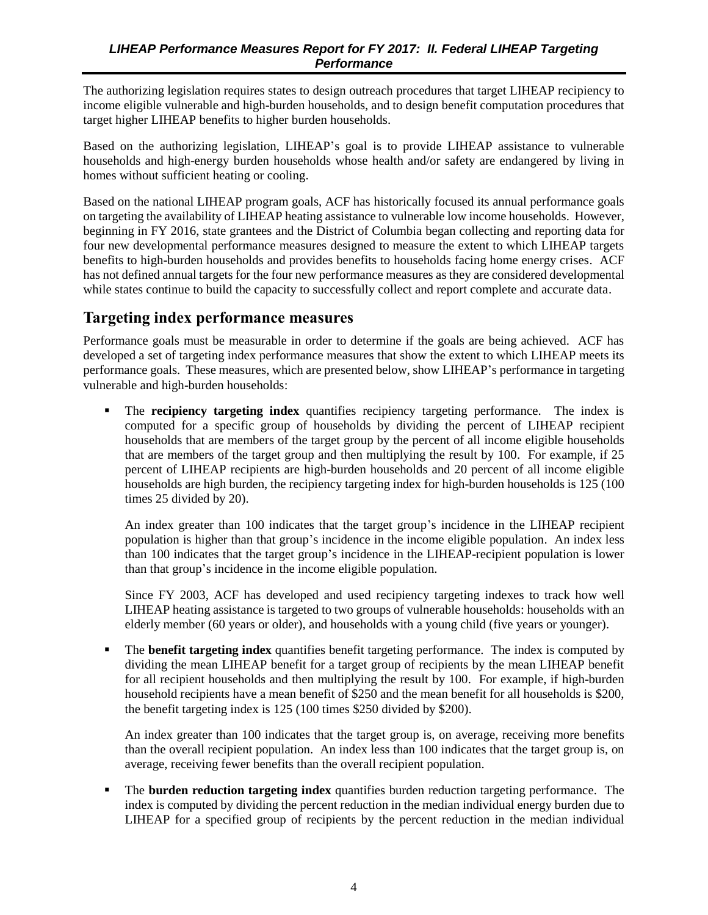<span id="page-12-0"></span>The authorizing legislation requires states to design outreach procedures that target LIHEAP recipiency to income eligible vulnerable and high-burden households, and to design benefit computation procedures that target higher LIHEAP benefits to higher burden households.

Based on the authorizing legislation, LIHEAP's goal is to provide LIHEAP assistance to vulnerable households and high-energy burden households whose health and/or safety are endangered by living in homes without sufficient heating or cooling.

Based on the national LIHEAP program goals, ACF has historically focused its annual performance goals on targeting the availability of LIHEAP heating assistance to vulnerable low income households. However, beginning in FY 2016, state grantees and the District of Columbia began collecting and reporting data for four new developmental performance measures designed to measure the extent to which LIHEAP targets benefits to high-burden households and provides benefits to households facing home energy crises. ACF has not defined annual targets for the four new performance measures as they are considered developmental while states continue to build the capacity to successfully collect and report complete and accurate data.

## **Targeting index performance measures**

Performance goals must be measurable in order to determine if the goals are being achieved. ACF has developed a set of targeting index performance measures that show the extent to which LIHEAP meets its performance goals. These measures, which are presented below, show LIHEAP's performance in targeting vulnerable and high-burden households:

The **recipiency targeting index** quantifies recipiency targeting performance. The index is computed for a specific group of households by dividing the percent of LIHEAP recipient households that are members of the target group by the percent of all income eligible households that are members of the target group and then multiplying the result by 100. For example, if 25 percent of LIHEAP recipients are high-burden households and 20 percent of all income eligible households are high burden, the recipiency targeting index for high-burden households is 125 (100 times 25 divided by 20).

An index greater than 100 indicates that the target group's incidence in the LIHEAP recipient population is higher than that group's incidence in the income eligible population. An index less than 100 indicates that the target group's incidence in the LIHEAP-recipient population is lower than that group's incidence in the income eligible population.

Since FY 2003, ACF has developed and used recipiency targeting indexes to track how well LIHEAP heating assistance is targeted to two groups of vulnerable households: households with an elderly member (60 years or older), and households with a young child (five years or younger).

The **benefit targeting index** quantifies benefit targeting performance. The index is computed by dividing the mean LIHEAP benefit for a target group of recipients by the mean LIHEAP benefit for all recipient households and then multiplying the result by 100. For example, if high-burden household recipients have a mean benefit of \$250 and the mean benefit for all households is \$200, the benefit targeting index is 125 (100 times \$250 divided by \$200).

An index greater than 100 indicates that the target group is, on average, receiving more benefits than the overall recipient population. An index less than 100 indicates that the target group is, on average, receiving fewer benefits than the overall recipient population.

▪ The **burden reduction targeting index** quantifies burden reduction targeting performance. The index is computed by dividing the percent reduction in the median individual energy burden due to LIHEAP for a specified group of recipients by the percent reduction in the median individual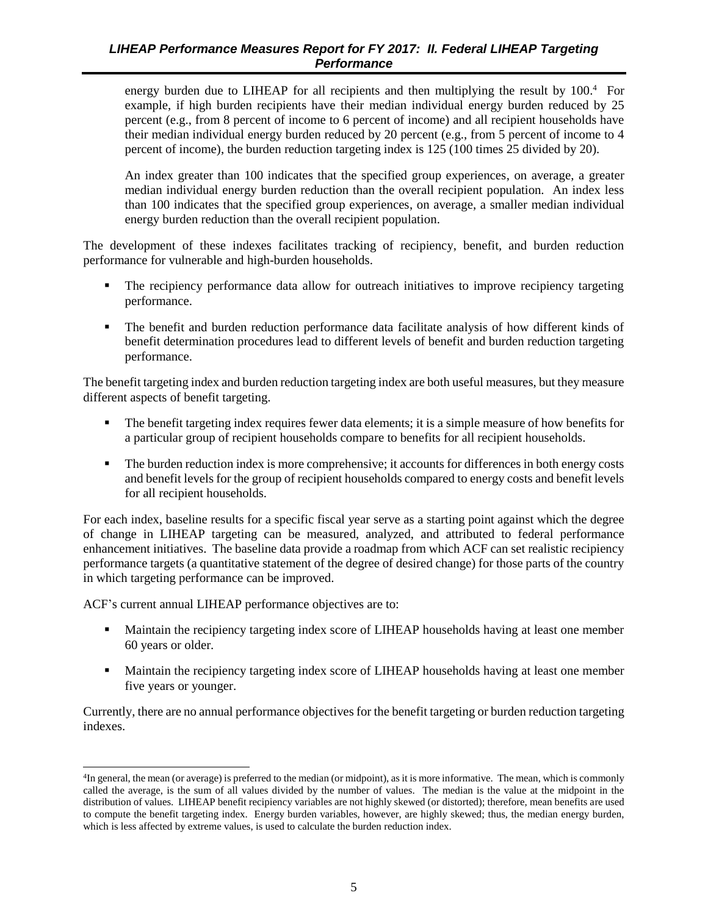energy burden due to LIHEAP for all recipients and then multiplying the result by 100.<sup>4</sup> For example, if high burden recipients have their median individual energy burden reduced by 25 percent (e.g., from 8 percent of income to 6 percent of income) and all recipient households have their median individual energy burden reduced by 20 percent (e.g., from 5 percent of income to 4 percent of income), the burden reduction targeting index is 125 (100 times 25 divided by 20).

An index greater than 100 indicates that the specified group experiences, on average, a greater median individual energy burden reduction than the overall recipient population. An index less than 100 indicates that the specified group experiences, on average, a smaller median individual energy burden reduction than the overall recipient population.

The development of these indexes facilitates tracking of recipiency, benefit, and burden reduction performance for vulnerable and high-burden households.

- The recipiency performance data allow for outreach initiatives to improve recipiency targeting performance.
- The benefit and burden reduction performance data facilitate analysis of how different kinds of benefit determination procedures lead to different levels of benefit and burden reduction targeting performance.

The benefit targeting index and burden reduction targeting index are both useful measures, but they measure different aspects of benefit targeting.

- The benefit targeting index requires fewer data elements; it is a simple measure of how benefits for a particular group of recipient households compare to benefits for all recipient households.
- The burden reduction index is more comprehensive; it accounts for differences in both energy costs and benefit levels for the group of recipient households compared to energy costs and benefit levels for all recipient households.

For each index, baseline results for a specific fiscal year serve as a starting point against which the degree of change in LIHEAP targeting can be measured, analyzed, and attributed to federal performance enhancement initiatives. The baseline data provide a roadmap from which ACF can set realistic recipiency performance targets (a quantitative statement of the degree of desired change) for those parts of the country in which targeting performance can be improved.

ACF's current annual LIHEAP performance objectives are to:

l

- **EXECUTE:** Maintain the recipiency targeting index score of LIHEAP households having at least one member 60 years or older.
- **EXECUTE:** Maintain the recipiency targeting index score of LIHEAP households having at least one member five years or younger.

Currently, there are no annual performance objectives for the benefit targeting or burden reduction targeting indexes.

<sup>&</sup>lt;sup>4</sup>In general, the mean (or average) is preferred to the median (or midpoint), as it is more informative. The mean, which is commonly called the average, is the sum of all values divided by the number of values. The median is the value at the midpoint in the distribution of values. LIHEAP benefit recipiency variables are not highly skewed (or distorted); therefore, mean benefits are used to compute the benefit targeting index. Energy burden variables, however, are highly skewed; thus, the median energy burden, which is less affected by extreme values, is used to calculate the burden reduction index.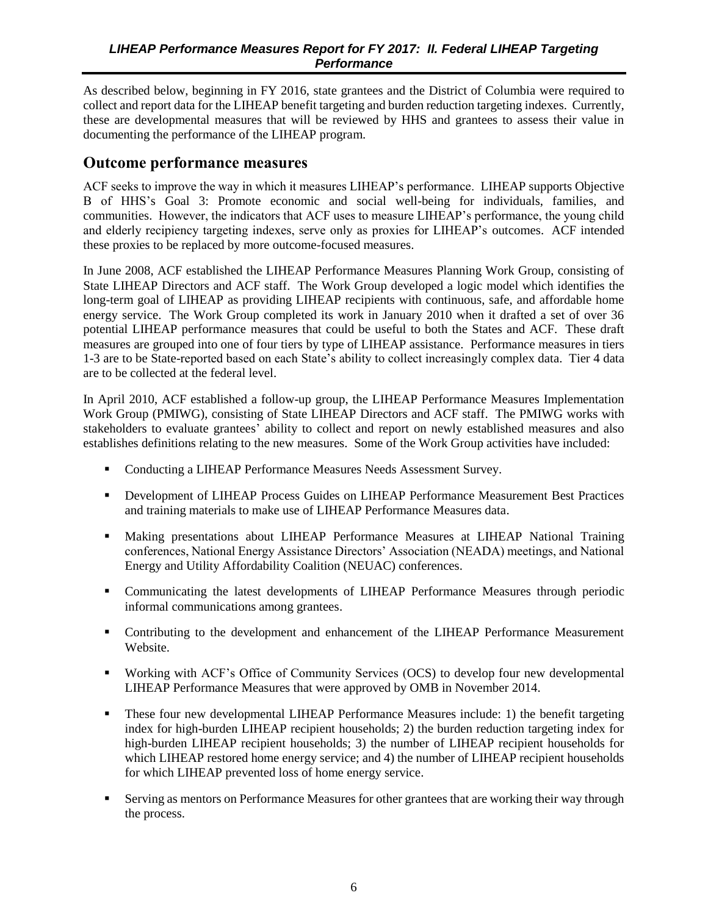<span id="page-14-0"></span>As described below, beginning in FY 2016, state grantees and the District of Columbia were required to collect and report data for the LIHEAP benefit targeting and burden reduction targeting indexes. Currently, these are developmental measures that will be reviewed by HHS and grantees to assess their value in documenting the performance of the LIHEAP program.

### **Outcome performance measures**

ACF seeks to improve the way in which it measures LIHEAP's performance. LIHEAP supports Objective B of HHS's Goal 3: Promote economic and social well-being for individuals, families, and communities. However, the indicators that ACF uses to measure LIHEAP's performance, the young child and elderly recipiency targeting indexes, serve only as proxies for LIHEAP's outcomes. ACF intended these proxies to be replaced by more outcome-focused measures.

In June 2008, ACF established the LIHEAP Performance Measures Planning Work Group, consisting of State LIHEAP Directors and ACF staff. The Work Group developed a logic model which identifies the long-term goal of LIHEAP as providing LIHEAP recipients with continuous, safe, and affordable home energy service. The Work Group completed its work in January 2010 when it drafted a set of over 36 potential LIHEAP performance measures that could be useful to both the States and ACF. These draft measures are grouped into one of four tiers by type of LIHEAP assistance. Performance measures in tiers 1-3 are to be State-reported based on each State's ability to collect increasingly complex data. Tier 4 data are to be collected at the federal level.

In April 2010, ACF established a follow-up group, the LIHEAP Performance Measures Implementation Work Group (PMIWG), consisting of State LIHEAP Directors and ACF staff. The PMIWG works with stakeholders to evaluate grantees' ability to collect and report on newly established measures and also establishes definitions relating to the new measures. Some of the Work Group activities have included:

- Conducting a LIHEAP Performance Measures Needs Assessment Survey.
- **Development of LIHEAP Process Guides on LIHEAP Performance Measurement Best Practices** and training materials to make use of LIHEAP Performance Measures data.
- Making presentations about LIHEAP Performance Measures at LIHEAP National Training conferences, National Energy Assistance Directors' Association (NEADA) meetings, and National Energy and Utility Affordability Coalition (NEUAC) conferences.
- Communicating the latest developments of LIHEAP Performance Measures through periodic informal communications among grantees.
- Contributing to the development and enhancement of the LIHEAP Performance Measurement Website.
- Working with ACF's Office of Community Services (OCS) to develop four new developmental LIHEAP Performance Measures that were approved by OMB in November 2014.
- **•** These four new developmental LIHEAP Performance Measures include: 1) the benefit targeting index for high-burden LIHEAP recipient households; 2) the burden reduction targeting index for high-burden LIHEAP recipient households; 3) the number of LIHEAP recipient households for which LIHEAP restored home energy service; and 4) the number of LIHEAP recipient households for which LIHEAP prevented loss of home energy service.
- Serving as mentors on Performance Measures for other grantees that are working their way through the process.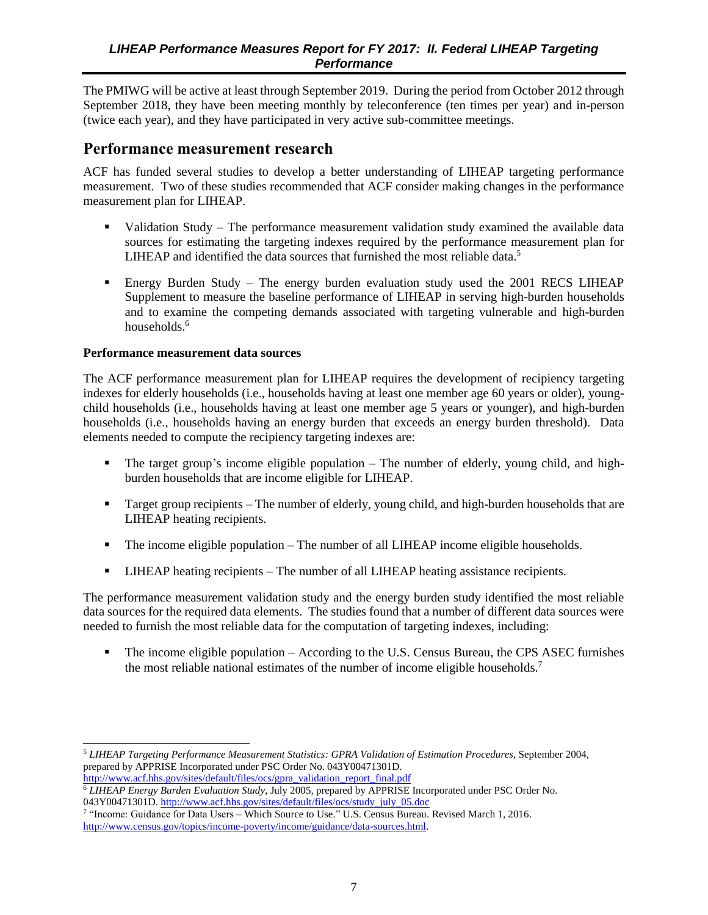<span id="page-15-0"></span>The PMIWG will be active at least through September 2019. During the period from October 2012 through September 2018, they have been meeting monthly by teleconference (ten times per year) and in-person (twice each year), and they have participated in very active sub-committee meetings.

## **Performance measurement research**

ACF has funded several studies to develop a better understanding of LIHEAP targeting performance measurement. Two of these studies recommended that ACF consider making changes in the performance measurement plan for LIHEAP.

- Validation Study The performance measurement validation study examined the available data sources for estimating the targeting indexes required by the performance measurement plan for LIHEAP and identified the data sources that furnished the most reliable data.<sup>5</sup>
- Energy Burden Study The energy burden evaluation study used the 2001 RECS LIHEAP Supplement to measure the baseline performance of LIHEAP in serving high-burden households and to examine the competing demands associated with targeting vulnerable and high-burden households.<sup>6</sup>

#### **Performance measurement data sources**

The ACF performance measurement plan for LIHEAP requires the development of recipiency targeting indexes for elderly households (i.e., households having at least one member age 60 years or older), youngchild households (i.e., households having at least one member age 5 years or younger), and high-burden households (i.e., households having an energy burden that exceeds an energy burden threshold). Data elements needed to compute the recipiency targeting indexes are:

- The target group's income eligible population The number of elderly, young child, and highburden households that are income eligible for LIHEAP.
- **•** Target group recipients The number of elderly, young child, and high-burden households that are LIHEAP heating recipients.
- The income eligible population The number of all LIHEAP income eligible households.
- **EXECUTE 1** LIHEAP heating recipients The number of all LIHEAP heating assistance recipients.

The performance measurement validation study and the energy burden study identified the most reliable data sources for the required data elements. The studies found that a number of different data sources were needed to furnish the most reliable data for the computation of targeting indexes, including:

**•** The income eligible population – According to the U.S. Census Bureau, the CPS ASEC furnishes the most reliable national estimates of the number of income eligible households.<sup>7</sup>

 $\overline{a}$ <sup>5</sup> *LIHEAP Targeting Performance Measurement Statistics: GPRA Validation of Estimation Procedures*, September 2004, prepared by APPRISE Incorporated under PSC Order No. 043Y00471301D. [http://www.acf.hhs.gov/sites/default/files/ocs/gpra\\_validation\\_report\\_final.pdf](http://www.acf.hhs.gov/sites/default/files/ocs/gpra_validation_report_final.pdf)

<sup>6</sup> *LIHEAP Energy Burden Evaluation Study*, July 2005, prepared by APPRISE Incorporated under PSC Order No. 043Y00471301D. [http://www.acf.hhs.gov/sites/default/files/ocs/study\\_july\\_05.doc](http://www.acf.hhs.gov/sites/default/files/ocs/study_july_05.doc)

<sup>7</sup> "Income: Guidance for Data Users – Which Source to Use." U.S. Census Bureau. Revised March 1, 2016. [http://www.census.gov/topics/income-poverty/income/guidance/data-sources.html.](http://www.census.gov/topics/income-poverty/income/guidance/data-sources.html)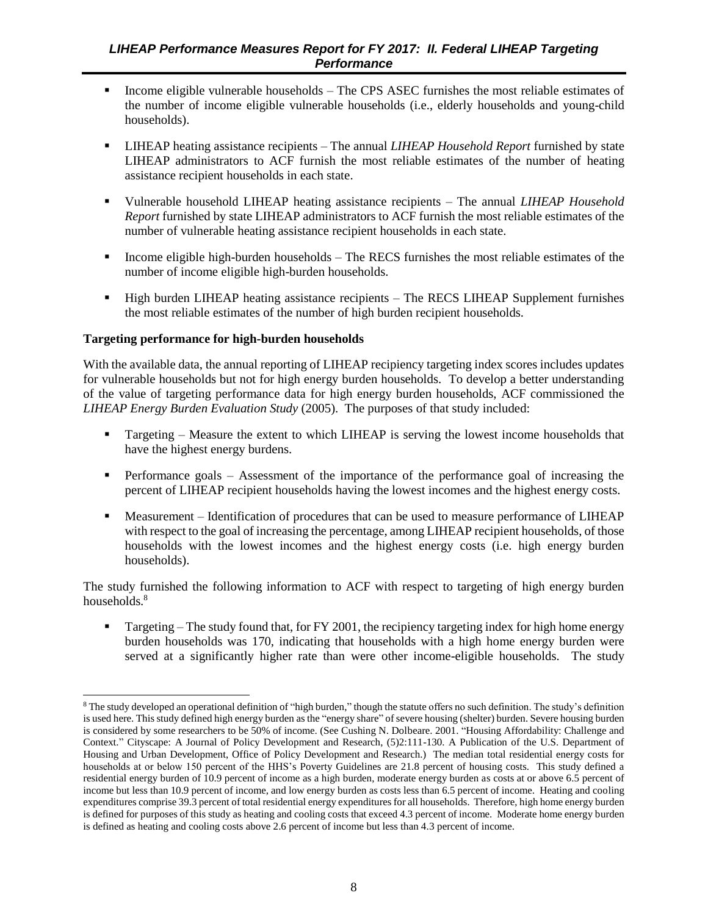- **•** Income eligible vulnerable households The CPS ASEC furnishes the most reliable estimates of the number of income eligible vulnerable households (i.e., elderly households and young-child households).
- LIHEAP heating assistance recipients The annual *LIHEAP Household Report* furnished by state LIHEAP administrators to ACF furnish the most reliable estimates of the number of heating assistance recipient households in each state.
- Vulnerable household LIHEAP heating assistance recipients The annual *LIHEAP Household Report* furnished by state LIHEAP administrators to ACF furnish the most reliable estimates of the number of vulnerable heating assistance recipient households in each state.
- Income eligible high-burden households  $-$  The RECS furnishes the most reliable estimates of the number of income eligible high-burden households.
- High burden LIHEAP heating assistance recipients The RECS LIHEAP Supplement furnishes the most reliable estimates of the number of high burden recipient households.

#### **Targeting performance for high-burden households**

With the available data, the annual reporting of LIHEAP recipiency targeting index scores includes updates for vulnerable households but not for high energy burden households. To develop a better understanding of the value of targeting performance data for high energy burden households, ACF commissioned the *LIHEAP Energy Burden Evaluation Study* (2005). The purposes of that study included:

- **•** Targeting Measure the extent to which LIHEAP is serving the lowest income households that have the highest energy burdens.
- **•** Performance goals Assessment of the importance of the performance goal of increasing the percent of LIHEAP recipient households having the lowest incomes and the highest energy costs.
- Measurement Identification of procedures that can be used to measure performance of LIHEAP with respect to the goal of increasing the percentage, among LIHEAP recipient households, of those households with the lowest incomes and the highest energy costs (i.e. high energy burden households).

The study furnished the following information to ACF with respect to targeting of high energy burden households.<sup>8</sup>

**•** Targeting – The study found that, for FY 2001, the recipiency targeting index for high home energy burden households was 170, indicating that households with a high home energy burden were served at a significantly higher rate than were other income-eligible households. The study

l <sup>8</sup> The study developed an operational definition of "high burden," though the statute offers no such definition. The study's definition is used here. This study defined high energy burden as the "energy share" of severe housing (shelter) burden. Severe housing burden is considered by some researchers to be 50% of income. (See Cushing N. Dolbeare. 2001. "Housing Affordability: Challenge and Context." Cityscape: A Journal of Policy Development and Research, (5)2:111-130. A Publication of the U.S. Department of Housing and Urban Development, Office of Policy Development and Research.) The median total residential energy costs for households at or below 150 percent of the HHS's Poverty Guidelines are 21.8 percent of housing costs. This study defined a residential energy burden of 10.9 percent of income as a high burden, moderate energy burden as costs at or above 6.5 percent of income but less than 10.9 percent of income, and low energy burden as costs less than 6.5 percent of income. Heating and cooling expenditures comprise 39.3 percent of total residential energy expenditures for all households. Therefore, high home energy burden is defined for purposes of this study as heating and cooling costs that exceed 4.3 percent of income. Moderate home energy burden is defined as heating and cooling costs above 2.6 percent of income but less than 4.3 percent of income.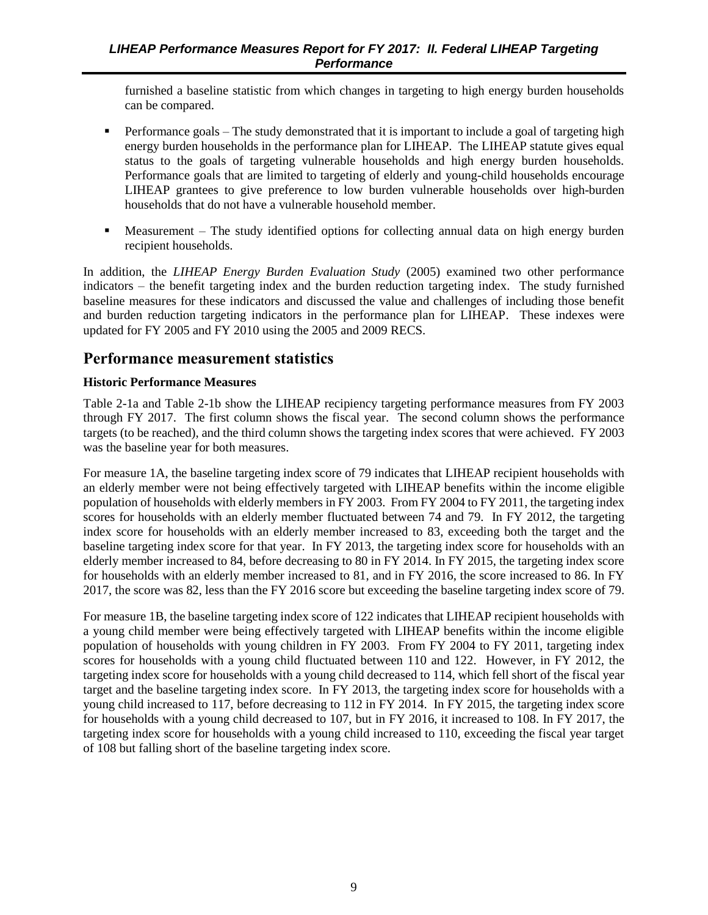<span id="page-17-0"></span>furnished a baseline statistic from which changes in targeting to high energy burden households can be compared.

- Performance goals The study demonstrated that it is important to include a goal of targeting high energy burden households in the performance plan for LIHEAP. The LIHEAP statute gives equal status to the goals of targeting vulnerable households and high energy burden households. Performance goals that are limited to targeting of elderly and young-child households encourage LIHEAP grantees to give preference to low burden vulnerable households over high-burden households that do not have a vulnerable household member.
- Measurement The study identified options for collecting annual data on high energy burden recipient households.

In addition, the *LIHEAP Energy Burden Evaluation Study* (2005) examined two other performance indicators – the benefit targeting index and the burden reduction targeting index. The study furnished baseline measures for these indicators and discussed the value and challenges of including those benefit and burden reduction targeting indicators in the performance plan for LIHEAP. These indexes were updated for FY 2005 and FY 2010 using the 2005 and 2009 RECS.

## **Performance measurement statistics**

#### **Historic Performance Measures**

Table 2-1a and Table 2-1b show the LIHEAP recipiency targeting performance measures from FY 2003 through FY 2017. The first column shows the fiscal year. The second column shows the performance targets (to be reached), and the third column shows the targeting index scores that were achieved. FY 2003 was the baseline year for both measures.

For measure 1A, the baseline targeting index score of 79 indicates that LIHEAP recipient households with an elderly member were not being effectively targeted with LIHEAP benefits within the income eligible population of households with elderly members in FY 2003. From FY 2004 to FY 2011, the targeting index scores for households with an elderly member fluctuated between 74 and 79. In FY 2012, the targeting index score for households with an elderly member increased to 83, exceeding both the target and the baseline targeting index score for that year. In FY 2013, the targeting index score for households with an elderly member increased to 84, before decreasing to 80 in FY 2014. In FY 2015, the targeting index score for households with an elderly member increased to 81, and in FY 2016, the score increased to 86. In FY 2017, the score was 82, less than the FY 2016 score but exceeding the baseline targeting index score of 79.

For measure 1B, the baseline targeting index score of 122 indicates that LIHEAP recipient households with a young child member were being effectively targeted with LIHEAP benefits within the income eligible population of households with young children in FY 2003. From FY 2004 to FY 2011, targeting index scores for households with a young child fluctuated between 110 and 122. However, in FY 2012, the targeting index score for households with a young child decreased to 114, which fell short of the fiscal year target and the baseline targeting index score. In FY 2013, the targeting index score for households with a young child increased to 117, before decreasing to 112 in FY 2014. In FY 2015, the targeting index score for households with a young child decreased to 107, but in FY 2016, it increased to 108. In FY 2017, the targeting index score for households with a young child increased to 110, exceeding the fiscal year target of 108 but falling short of the baseline targeting index score.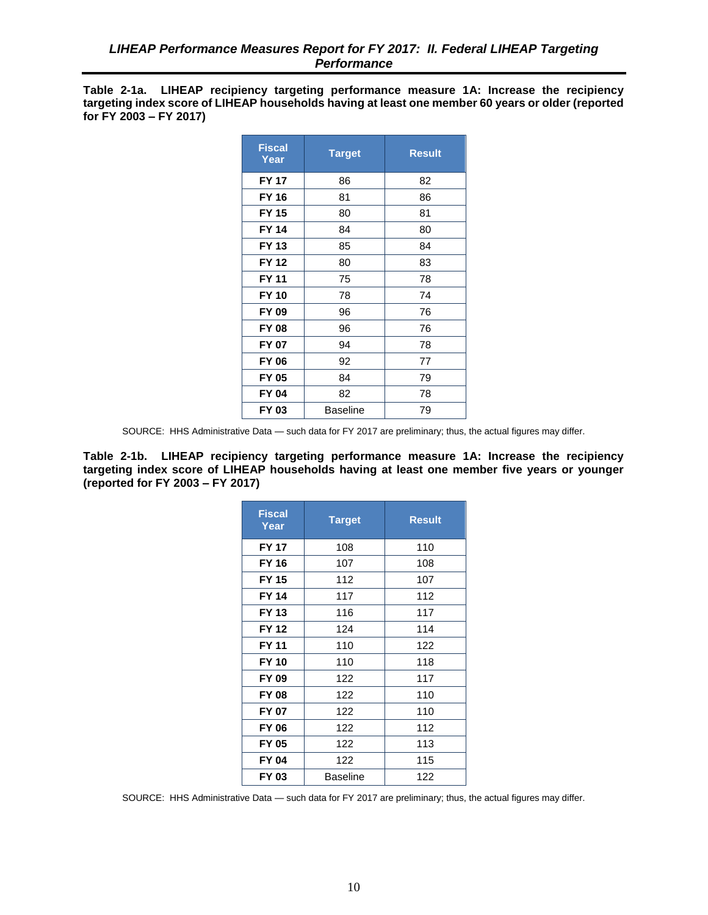<span id="page-18-0"></span>**Table 2-1a. LIHEAP recipiency targeting performance measure 1A: Increase the recipiency targeting index score of LIHEAP households having at least one member 60 years or older (reported for FY 2003 – FY 2017)**

| <b>Fiscal</b><br>Year | <b>Target</b>   | <b>Result</b> |
|-----------------------|-----------------|---------------|
| <b>FY 17</b>          | 86              | 82            |
| <b>FY 16</b>          | 81              | 86            |
| <b>FY 15</b>          | 80              | 81            |
| <b>FY 14</b>          | 84              | 80            |
| FY 13                 | 85              | 84            |
| <b>FY 12</b>          | 80              | 83            |
| <b>FY 11</b>          | 75              | 78            |
| <b>FY 10</b>          | 78              | 74            |
| FY 09                 | 96              | 76            |
| <b>FY 08</b>          | 96              | 76            |
| <b>FY 07</b>          | 94              | 78            |
| FY 06                 | 92              | 77            |
| <b>FY 05</b>          | 84              | 79            |
| FY 04                 | 82              | 78            |
| FY 03                 | <b>Baseline</b> | 79            |

SOURCE: HHS Administrative Data — such data for FY 2017 are preliminary; thus, the actual figures may differ.

**Table 2-1b. LIHEAP recipiency targeting performance measure 1A: Increase the recipiency targeting index score of LIHEAP households having at least one member five years or younger (reported for FY 2003 – FY 2017)**

| <b>Fiscal</b><br>Year | <b>Target</b> | <b>Result</b> |
|-----------------------|---------------|---------------|
| <b>FY 17</b>          | 108           | 110           |
| <b>FY 16</b>          | 107           | 108           |
| <b>FY 15</b>          | 112           | 107           |
| <b>FY 14</b>          | 117           | 112           |
| <b>FY 13</b>          | 116           | 117           |
| <b>FY 12</b>          | 124           | 114           |
| <b>FY 11</b>          | 110           | 122           |
| <b>FY 10</b>          | 110           | 118           |
| FY 09                 | 122           | 117           |
| <b>FY 08</b>          | 122           | 110           |
| <b>FY 07</b>          | 122           | 110           |
| <b>FY 06</b>          | 122           | 112           |
| <b>FY 05</b>          | 122           | 113           |
| <b>FY 04</b>          | 122           | 115           |
| FY 03                 | Baseline      | 122           |

SOURCE: HHS Administrative Data — such data for FY 2017 are preliminary; thus, the actual figures may differ.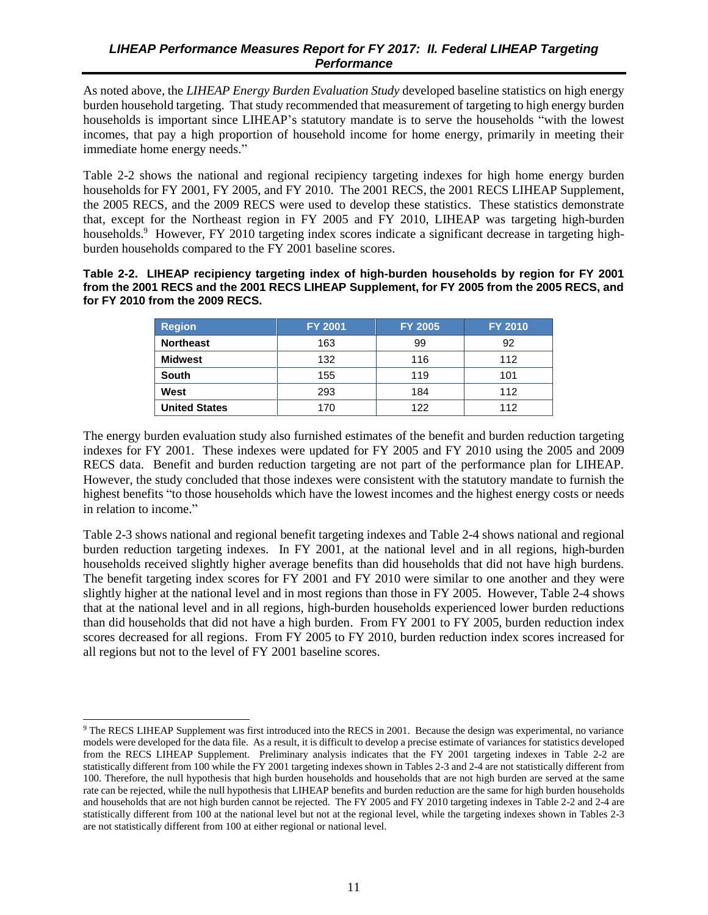<span id="page-19-0"></span>As noted above, the *LIHEAP Energy Burden Evaluation Study* developed baseline statistics on high energy burden household targeting. That study recommended that measurement of targeting to high energy burden households is important since LIHEAP's statutory mandate is to serve the households "with the lowest incomes, that pay a high proportion of household income for home energy, primarily in meeting their immediate home energy needs."

Table 2-2 shows the national and regional recipiency targeting indexes for high home energy burden households for FY 2001, FY 2005, and FY 2010. The 2001 RECS, the 2001 RECS LIHEAP Supplement, the 2005 RECS, and the 2009 RECS were used to develop these statistics. These statistics demonstrate that, except for the Northeast region in FY 2005 and FY 2010, LIHEAP was targeting high-burden households.<sup>9</sup> However, FY 2010 targeting index scores indicate a significant decrease in targeting highburden households compared to the FY 2001 baseline scores.

#### **Table 2-2. LIHEAP recipiency targeting index of high-burden households by region for FY 2001 from the 2001 RECS and the 2001 RECS LIHEAP Supplement, for FY 2005 from the 2005 RECS, and for FY 2010 from the 2009 RECS.**

| <b>Region</b>        | <b>FY 2001</b> | <b>FY 2005</b> | <b>FY 2010</b> |
|----------------------|----------------|----------------|----------------|
| <b>Northeast</b>     | 163            | 99             | 92             |
| <b>Midwest</b>       | 132            | 116            | 112            |
| <b>South</b>         | 155            | 119            | 101            |
| West                 | 293            | 184            | 112            |
| <b>United States</b> | 170            | 122            | 112            |

The energy burden evaluation study also furnished estimates of the benefit and burden reduction targeting indexes for FY 2001. These indexes were updated for FY 2005 and FY 2010 using the 2005 and 2009 RECS data. Benefit and burden reduction targeting are not part of the performance plan for LIHEAP. However, the study concluded that those indexes were consistent with the statutory mandate to furnish the highest benefits "to those households which have the lowest incomes and the highest energy costs or needs in relation to income."

Table 2-3 shows national and regional benefit targeting indexes and Table 2-4 shows national and regional burden reduction targeting indexes. In FY 2001, at the national level and in all regions, high-burden households received slightly higher average benefits than did households that did not have high burdens. The benefit targeting index scores for FY 2001 and FY 2010 were similar to one another and they were slightly higher at the national level and in most regions than those in FY 2005. However, Table 2-4 shows that at the national level and in all regions, high-burden households experienced lower burden reductions than did households that did not have a high burden. From FY 2001 to FY 2005, burden reduction index scores decreased for all regions. From FY 2005 to FY 2010, burden reduction index scores increased for all regions but not to the level of FY 2001 baseline scores.

 $\overline{a}$ 

<sup>&</sup>lt;sup>9</sup> The RECS LIHEAP Supplement was first introduced into the RECS in 2001. Because the design was experimental, no variance models were developed for the data file. As a result, it is difficult to develop a precise estimate of variances for statistics developed from the RECS LIHEAP Supplement. Preliminary analysis indicates that the FY 2001 targeting indexes in Table 2-2 are statistically different from 100 while the FY 2001 targeting indexes shown in Tables 2-3 and 2-4 are not statistically different from 100. Therefore, the null hypothesis that high burden households and households that are not high burden are served at the same rate can be rejected, while the null hypothesis that LIHEAP benefits and burden reduction are the same for high burden households and households that are not high burden cannot be rejected. The FY 2005 and FY 2010 targeting indexes in Table 2-2 and 2-4 are statistically different from 100 at the national level but not at the regional level, while the targeting indexes shown in Tables 2-3 are not statistically different from 100 at either regional or national level.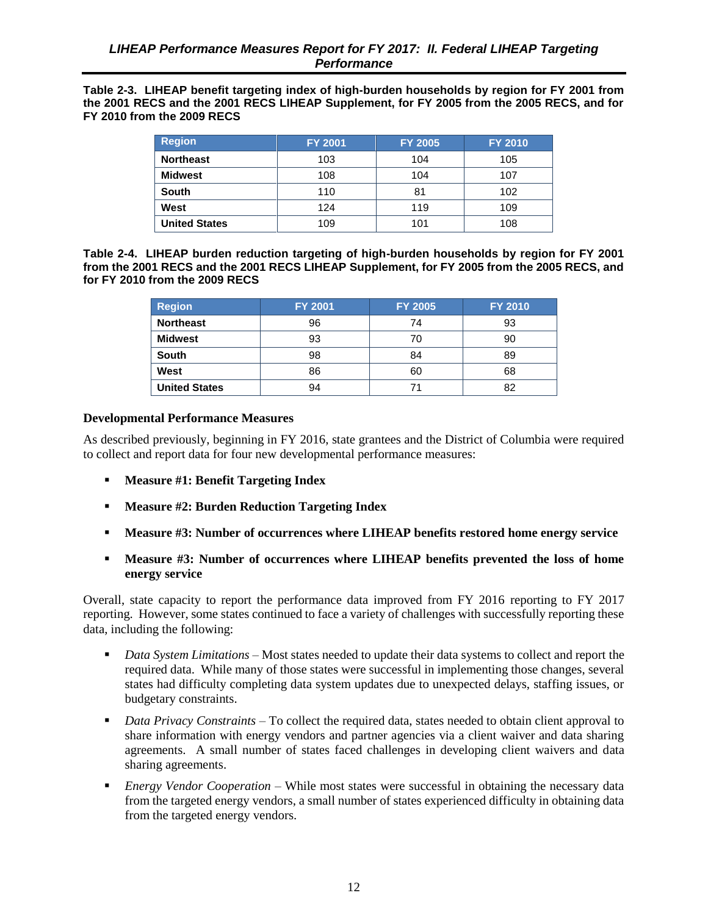<span id="page-20-0"></span>**Table 2-3. LIHEAP benefit targeting index of high-burden households by region for FY 2001 from the 2001 RECS and the 2001 RECS LIHEAP Supplement, for FY 2005 from the 2005 RECS, and for FY 2010 from the 2009 RECS** 

| <b>Region</b>        | <b>FY 2001</b> | <b>FY 2005</b> | <b>FY 2010</b> |
|----------------------|----------------|----------------|----------------|
| <b>Northeast</b>     | 103            | 104            | 105            |
| Midwest              | 108            | 104            | 107            |
| <b>South</b>         | 110            | 81             | 102            |
| West                 | 124            | 119            | 109            |
| <b>United States</b> | 109            | 101            | 108            |

**Table 2-4. LIHEAP burden reduction targeting of high-burden households by region for FY 2001 from the 2001 RECS and the 2001 RECS LIHEAP Supplement, for FY 2005 from the 2005 RECS, and for FY 2010 from the 2009 RECS** 

| <b>Region</b>        | <b>FY 2001</b> | <b>FY 2005</b> | <b>FY 2010</b> |
|----------------------|----------------|----------------|----------------|
| <b>Northeast</b>     | 96             | 74             | 93             |
| <b>Midwest</b>       | 93             | 70             | 90             |
| <b>South</b>         | 98             | 84             | 89             |
| West                 | 86             | 60             | 68             |
| <b>United States</b> | 94             |                | 82             |

#### **Developmental Performance Measures**

As described previously, beginning in FY 2016, state grantees and the District of Columbia were required to collect and report data for four new developmental performance measures:

- **Measure #1: Benefit Targeting Index**
- **Measure #2: Burden Reduction Targeting Index**
- **Measure #3: Number of occurrences where LIHEAP benefits restored home energy service**
- **Measure #3: Number of occurrences where LIHEAP benefits prevented the loss of home energy service**

Overall, state capacity to report the performance data improved from FY 2016 reporting to FY 2017 reporting. However, some states continued to face a variety of challenges with successfully reporting these data, including the following:

- *Data System Limitations* Most states needed to update their data systems to collect and report the required data. While many of those states were successful in implementing those changes, several states had difficulty completing data system updates due to unexpected delays, staffing issues, or budgetary constraints.
- *Data Privacy Constraints* To collect the required data, states needed to obtain client approval to share information with energy vendors and partner agencies via a client waiver and data sharing agreements. A small number of states faced challenges in developing client waivers and data sharing agreements.
- *Energy Vendor Cooperation* While most states were successful in obtaining the necessary data from the targeted energy vendors, a small number of states experienced difficulty in obtaining data from the targeted energy vendors.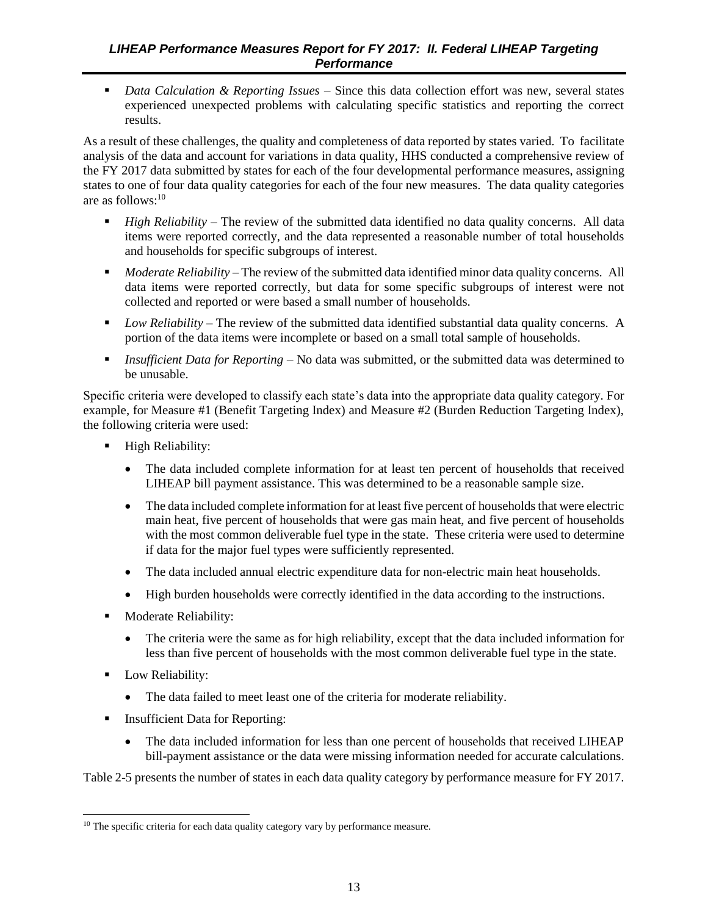■ *Data Calculation & Reporting Issues* – Since this data collection effort was new, several states experienced unexpected problems with calculating specific statistics and reporting the correct results.

As a result of these challenges, the quality and completeness of data reported by states varied. To facilitate analysis of the data and account for variations in data quality, HHS conducted a comprehensive review of the FY 2017 data submitted by states for each of the four developmental performance measures, assigning states to one of four data quality categories for each of the four new measures. The data quality categories are as follows: $10$ 

- *High Reliability* The review of the submitted data identified no data quality concerns. All data items were reported correctly, and the data represented a reasonable number of total households and households for specific subgroups of interest.
- *Moderate Reliability* The review of the submitted data identified minor data quality concerns. All data items were reported correctly, but data for some specific subgroups of interest were not collected and reported or were based a small number of households.
- *Low Reliability* The review of the submitted data identified substantial data quality concerns. A portion of the data items were incomplete or based on a small total sample of households.
- *Insufficient Data for Reporting* No data was submitted, or the submitted data was determined to be unusable.

Specific criteria were developed to classify each state's data into the appropriate data quality category. For example, for Measure #1 (Benefit Targeting Index) and Measure #2 (Burden Reduction Targeting Index), the following criteria were used:

- **•** High Reliability:
	- The data included complete information for at least ten percent of households that received LIHEAP bill payment assistance. This was determined to be a reasonable sample size.
	- The data included complete information for at least five percent of households that were electric main heat, five percent of households that were gas main heat, and five percent of households with the most common deliverable fuel type in the state. These criteria were used to determine if data for the major fuel types were sufficiently represented.
	- The data included annual electric expenditure data for non-electric main heat households.
	- High burden households were correctly identified in the data according to the instructions.
- Moderate Reliability:
	- The criteria were the same as for high reliability, except that the data included information for less than five percent of households with the most common deliverable fuel type in the state.
- Low Reliability:

 $\overline{a}$ 

- The data failed to meet least one of the criteria for moderate reliability.
- Insufficient Data for Reporting:
	- The data included information for less than one percent of households that received LIHEAP bill-payment assistance or the data were missing information needed for accurate calculations.

Table 2-5 presents the number of states in each data quality category by performance measure for FY 2017.

<sup>&</sup>lt;sup>10</sup> The specific criteria for each data quality category vary by performance measure.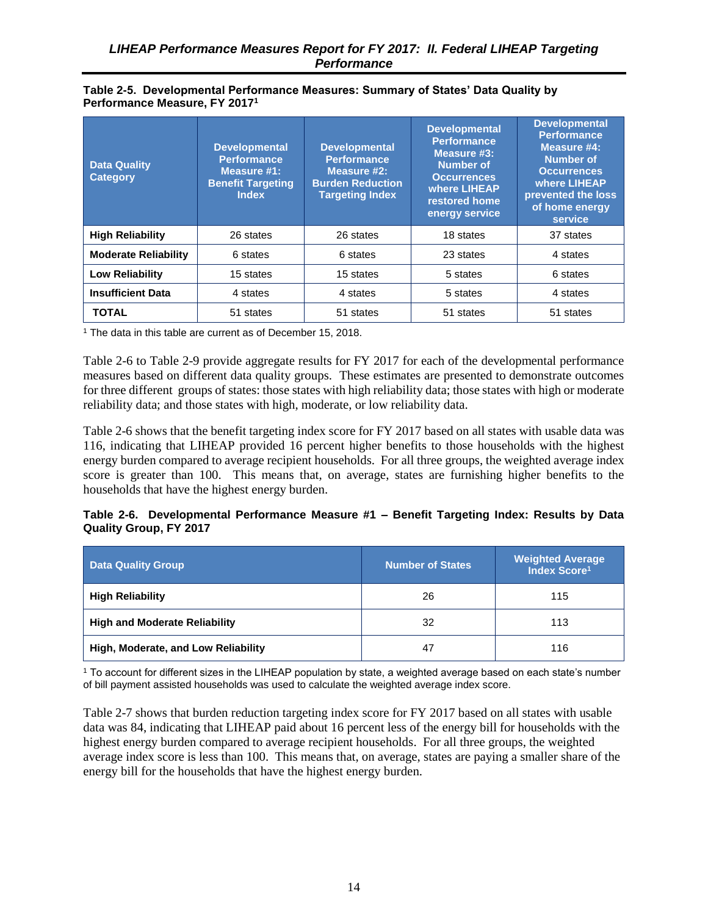#### <span id="page-22-0"></span>**Table 2-5. Developmental Performance Measures: Summary of States' Data Quality by Performance Measure, FY 2017<sup>1</sup>**

| <b>Data Quality</b><br><b>Category</b> | <b>Developmental</b><br><b>Performance</b><br>Measure #1:<br><b>Benefit Targeting</b><br><b>Index</b> | <b>Developmental</b><br><b>Performance</b><br>Measure #2:<br><b>Burden Reduction</b><br><b>Targeting Index</b> | <b>Developmental</b><br><b>Performance</b><br>Measure #3:<br>Number of<br><b>Occurrences</b><br>where LIHEAP<br>restored home<br>energy service | <b>Developmental</b><br><b>Performance</b><br>Measure #4:<br><b>Number of</b><br><b>Occurrences</b><br>where LIHEAP<br>prevented the loss<br>of home energy<br>service |
|----------------------------------------|-------------------------------------------------------------------------------------------------------|----------------------------------------------------------------------------------------------------------------|-------------------------------------------------------------------------------------------------------------------------------------------------|------------------------------------------------------------------------------------------------------------------------------------------------------------------------|
| <b>High Reliability</b>                | 26 states                                                                                             | 26 states                                                                                                      | 18 states                                                                                                                                       | 37 states                                                                                                                                                              |
| <b>Moderate Reliability</b>            | 6 states                                                                                              | 6 states                                                                                                       | 23 states                                                                                                                                       | 4 states                                                                                                                                                               |
| <b>Low Reliability</b>                 | 15 states                                                                                             | 15 states                                                                                                      | 5 states                                                                                                                                        | 6 states                                                                                                                                                               |
| <b>Insufficient Data</b>               | 4 states                                                                                              | 4 states                                                                                                       | 5 states                                                                                                                                        | 4 states                                                                                                                                                               |
| <b>TOTAL</b>                           | 51 states                                                                                             | 51 states                                                                                                      | 51 states                                                                                                                                       | 51 states                                                                                                                                                              |

<sup>1</sup> The data in this table are current as of December 15, 2018.

Table 2-6 to Table 2-9 provide aggregate results for FY 2017 for each of the developmental performance measures based on different data quality groups. These estimates are presented to demonstrate outcomes for three different groups of states: those states with high reliability data; those states with high or moderate reliability data; and those states with high, moderate, or low reliability data.

Table 2-6 shows that the benefit targeting index score for FY 2017 based on all states with usable data was 116, indicating that LIHEAP provided 16 percent higher benefits to those households with the highest energy burden compared to average recipient households. For all three groups, the weighted average index score is greater than 100. This means that, on average, states are furnishing higher benefits to the households that have the highest energy burden.

#### **Table 2-6. Developmental Performance Measure #1 – Benefit Targeting Index: Results by Data Quality Group, FY 2017**

| <b>Data Quality Group</b>            | <b>Number of States</b> | <b>Weighted Average</b><br>Index Score <sup>1</sup> |
|--------------------------------------|-------------------------|-----------------------------------------------------|
| <b>High Reliability</b>              | 26                      | 115                                                 |
| <b>High and Moderate Reliability</b> | 32                      | 113                                                 |
| High, Moderate, and Low Reliability  | 47                      | 116                                                 |

<sup>1</sup> To account for different sizes in the LIHEAP population by state, a weighted average based on each state's number of bill payment assisted households was used to calculate the weighted average index score.

Table 2-7 shows that burden reduction targeting index score for FY 2017 based on all states with usable data was 84, indicating that LIHEAP paid about 16 percent less of the energy bill for households with the highest energy burden compared to average recipient households. For all three groups, the weighted average index score is less than 100. This means that, on average, states are paying a smaller share of the energy bill for the households that have the highest energy burden.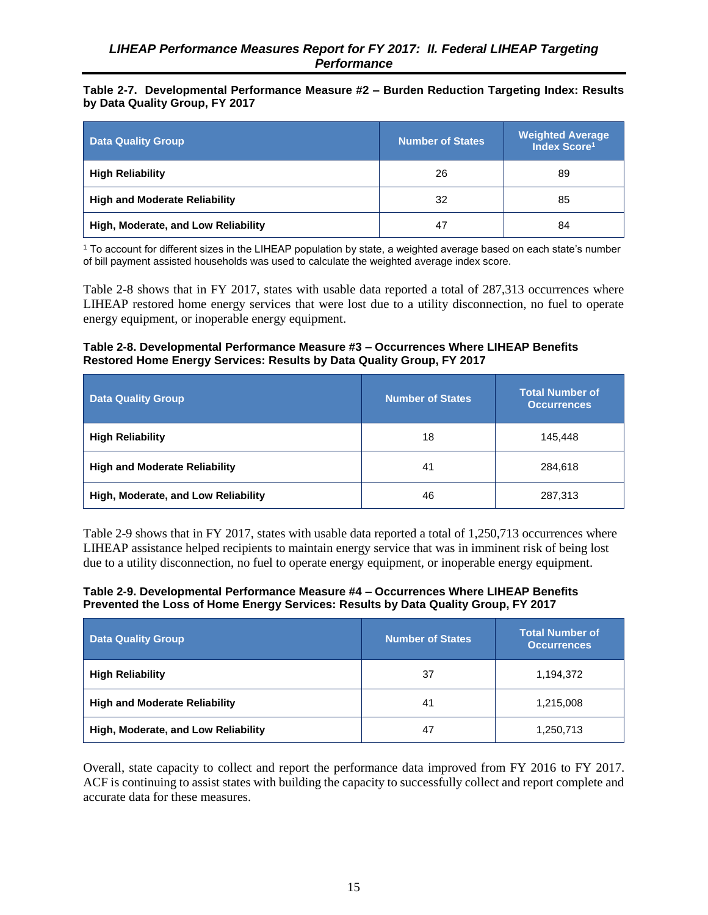#### <span id="page-23-0"></span>**Table 2-7. Developmental Performance Measure #2 – Burden Reduction Targeting Index: Results by Data Quality Group, FY 2017**

| <b>Data Quality Group</b>            | <b>Number of States</b> | <b>Weighted Average</b><br>Index Score <sup>1</sup> |
|--------------------------------------|-------------------------|-----------------------------------------------------|
| <b>High Reliability</b>              | 26                      | 89                                                  |
| <b>High and Moderate Reliability</b> | 32                      | 85                                                  |
| High, Moderate, and Low Reliability  | 47                      | 84                                                  |

<sup>1</sup> To account for different sizes in the LIHEAP population by state, a weighted average based on each state's number of bill payment assisted households was used to calculate the weighted average index score.

Table 2-8 shows that in FY 2017, states with usable data reported a total of 287,313 occurrences where LIHEAP restored home energy services that were lost due to a utility disconnection, no fuel to operate energy equipment, or inoperable energy equipment.

#### **Table 2-8. Developmental Performance Measure #3 – Occurrences Where LIHEAP Benefits Restored Home Energy Services: Results by Data Quality Group, FY 2017**

| <b>Data Quality Group</b>            | <b>Number of States</b> | <b>Total Number of</b><br><b>Occurrences</b> |
|--------------------------------------|-------------------------|----------------------------------------------|
| <b>High Reliability</b>              | 18                      | 145,448                                      |
| <b>High and Moderate Reliability</b> | 41                      | 284,618                                      |
| High, Moderate, and Low Reliability  | 46                      | 287,313                                      |

Table 2-9 shows that in FY 2017, states with usable data reported a total of 1,250,713 occurrences where LIHEAP assistance helped recipients to maintain energy service that was in imminent risk of being lost due to a utility disconnection, no fuel to operate energy equipment, or inoperable energy equipment.

#### **Table 2-9. Developmental Performance Measure #4 – Occurrences Where LIHEAP Benefits Prevented the Loss of Home Energy Services: Results by Data Quality Group, FY 2017**

| <b>Data Quality Group</b>            | <b>Number of States</b> | <b>Total Number of</b><br><b>Occurrences</b> |
|--------------------------------------|-------------------------|----------------------------------------------|
| <b>High Reliability</b>              | 37                      | 1,194,372                                    |
| <b>High and Moderate Reliability</b> | 41                      | 1,215,008                                    |
| High, Moderate, and Low Reliability  | 47                      | 1,250,713                                    |

Overall, state capacity to collect and report the performance data improved from FY 2016 to FY 2017. ACF is continuing to assist states with building the capacity to successfully collect and report complete and accurate data for these measures.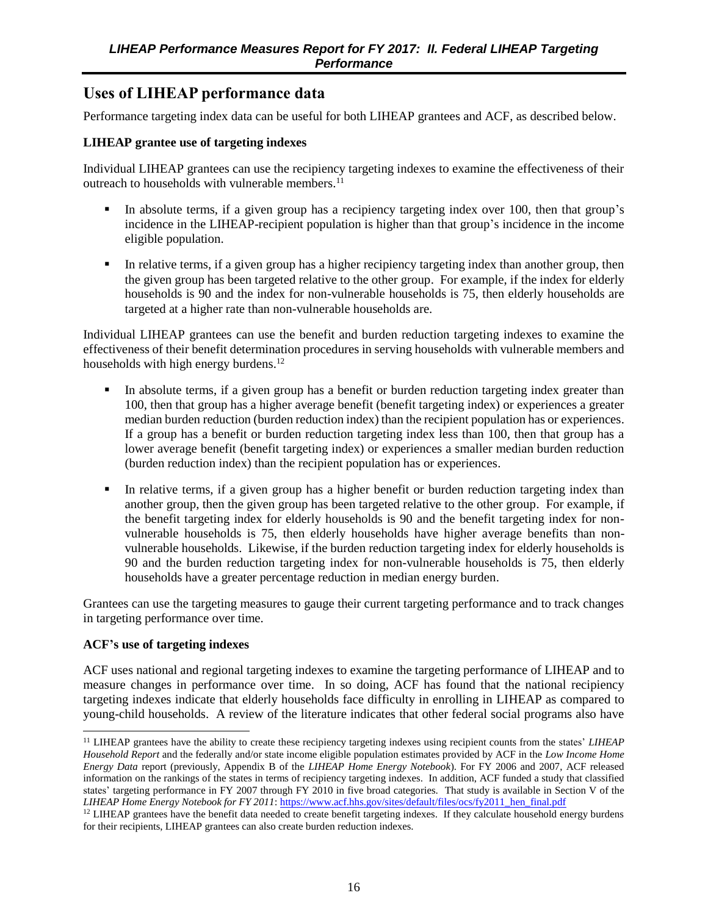# <span id="page-24-0"></span>**Uses of LIHEAP performance data**

Performance targeting index data can be useful for both LIHEAP grantees and ACF, as described below.

#### **LIHEAP grantee use of targeting indexes**

Individual LIHEAP grantees can use the recipiency targeting indexes to examine the effectiveness of their outreach to households with vulnerable members.<sup>11</sup>

- In absolute terms, if a given group has a recipiency targeting index over 100, then that group's incidence in the LIHEAP-recipient population is higher than that group's incidence in the income eligible population.
- In relative terms, if a given group has a higher recipiency targeting index than another group, then the given group has been targeted relative to the other group. For example, if the index for elderly households is 90 and the index for non-vulnerable households is 75, then elderly households are targeted at a higher rate than non-vulnerable households are.

Individual LIHEAP grantees can use the benefit and burden reduction targeting indexes to examine the effectiveness of their benefit determination procedures in serving households with vulnerable members and households with high energy burdens.<sup>12</sup>

- In absolute terms, if a given group has a benefit or burden reduction targeting index greater than 100, then that group has a higher average benefit (benefit targeting index) or experiences a greater median burden reduction (burden reduction index) than the recipient population has or experiences. If a group has a benefit or burden reduction targeting index less than 100, then that group has a lower average benefit (benefit targeting index) or experiences a smaller median burden reduction (burden reduction index) than the recipient population has or experiences.
- In relative terms, if a given group has a higher benefit or burden reduction targeting index than another group, then the given group has been targeted relative to the other group. For example, if the benefit targeting index for elderly households is 90 and the benefit targeting index for nonvulnerable households is 75, then elderly households have higher average benefits than nonvulnerable households. Likewise, if the burden reduction targeting index for elderly households is 90 and the burden reduction targeting index for non-vulnerable households is 75, then elderly households have a greater percentage reduction in median energy burden.

Grantees can use the targeting measures to gauge their current targeting performance and to track changes in targeting performance over time.

#### **ACF's use of targeting indexes**

l

ACF uses national and regional targeting indexes to examine the targeting performance of LIHEAP and to measure changes in performance over time. In so doing, ACF has found that the national recipiency targeting indexes indicate that elderly households face difficulty in enrolling in LIHEAP as compared to young-child households. A review of the literature indicates that other federal social programs also have

<sup>11</sup> LIHEAP grantees have the ability to create these recipiency targeting indexes using recipient counts from the states' *LIHEAP Household Report* and the federally and/or state income eligible population estimates provided by ACF in the *Low Income Home Energy Data* report (previously, Appendix B of the *LIHEAP Home Energy Notebook*). For FY 2006 and 2007, ACF released information on the rankings of the states in terms of recipiency targeting indexes. In addition, ACF funded a study that classified states' targeting performance in FY 2007 through FY 2010 in five broad categories. That study is available in Section V of the *LIHEAP Home Energy Notebook for FY 2011*[: https://www.acf.hhs.gov/sites/default/files/ocs/fy2011\\_hen\\_final.pdf](https://www.acf.hhs.gov/sites/default/files/ocs/fy2011_hen_final.pdf)

<sup>&</sup>lt;sup>12</sup> LIHEAP grantees have the benefit data needed to create benefit targeting indexes. If they calculate household energy burdens for their recipients, LIHEAP grantees can also create burden reduction indexes.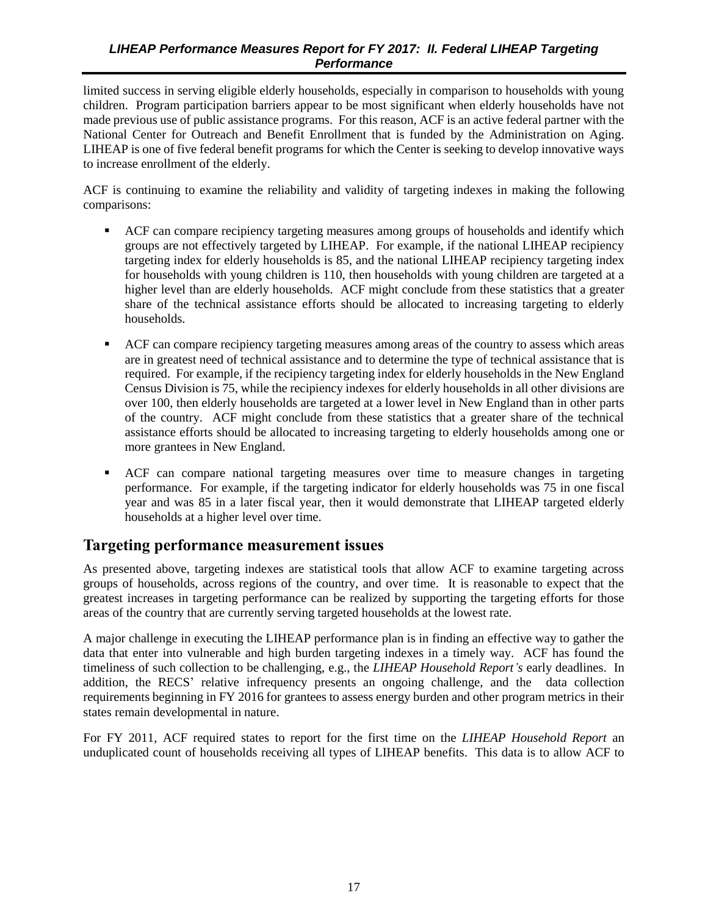<span id="page-25-0"></span>limited success in serving eligible elderly households, especially in comparison to households with young children. Program participation barriers appear to be most significant when elderly households have not made previous use of public assistance programs. For this reason, ACF is an active federal partner with the National Center for Outreach and Benefit Enrollment that is funded by the Administration on Aging. LIHEAP is one of five federal benefit programs for which the Center is seeking to develop innovative ways to increase enrollment of the elderly.

ACF is continuing to examine the reliability and validity of targeting indexes in making the following comparisons:

- ACF can compare recipiency targeting measures among groups of households and identify which groups are not effectively targeted by LIHEAP. For example, if the national LIHEAP recipiency targeting index for elderly households is 85, and the national LIHEAP recipiency targeting index for households with young children is 110, then households with young children are targeted at a higher level than are elderly households. ACF might conclude from these statistics that a greater share of the technical assistance efforts should be allocated to increasing targeting to elderly households.
- ACF can compare recipiency targeting measures among areas of the country to assess which areas are in greatest need of technical assistance and to determine the type of technical assistance that is required. For example, if the recipiency targeting index for elderly households in the New England Census Division is 75, while the recipiency indexes for elderly households in all other divisions are over 100, then elderly households are targeted at a lower level in New England than in other parts of the country. ACF might conclude from these statistics that a greater share of the technical assistance efforts should be allocated to increasing targeting to elderly households among one or more grantees in New England.
- ACF can compare national targeting measures over time to measure changes in targeting performance. For example, if the targeting indicator for elderly households was 75 in one fiscal year and was 85 in a later fiscal year, then it would demonstrate that LIHEAP targeted elderly households at a higher level over time.

# **Targeting performance measurement issues**

As presented above, targeting indexes are statistical tools that allow ACF to examine targeting across groups of households, across regions of the country, and over time. It is reasonable to expect that the greatest increases in targeting performance can be realized by supporting the targeting efforts for those areas of the country that are currently serving targeted households at the lowest rate.

A major challenge in executing the LIHEAP performance plan is in finding an effective way to gather the data that enter into vulnerable and high burden targeting indexes in a timely way. ACF has found the timeliness of such collection to be challenging, e.g., the *LIHEAP Household Report's* early deadlines. In addition, the RECS' relative infrequency presents an ongoing challenge, and the data collection requirements beginning in FY 2016 for grantees to assess energy burden and other program metrics in their states remain developmental in nature.

For FY 2011, ACF required states to report for the first time on the *LIHEAP Household Report* an unduplicated count of households receiving all types of LIHEAP benefits. This data is to allow ACF to